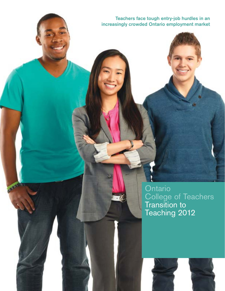Teachers face tough entry-job hurdles in an increasingly crowded Ontario employment market

> **Ontario** College of Teachers Transition to Teaching 2012

**ARCHITECT** 

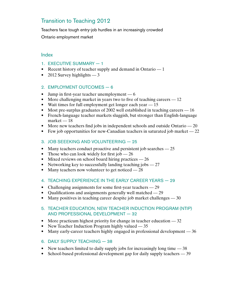# Transition to Teaching 2012

Teachers face tough entry-job hurdles in an increasingly crowded Ontario employment market

## Index

- 1. EXECUTIVE SUMMARY 1
- Recent history of teacher supply and demand in Ontario  $-1$
- 2012 Survey highlights  $-3$

## 2. EMPLOYMENT OUTCOMES — 6

- Jump in first-year teacher unemployment  $-6$
- More challenging market in years two to five of teaching careers  $-12$
- Wait times for full employment get longer each year  $-15$
- Most pre-surplus graduates of 2002 well established in teaching careers  $-16$
- French-language teacher markets sluggish, but stronger than English-language  $market - 18$
- More new teachers find jobs in independent schools and outside Ontario  $-20$
- Few job opportunities for new-Canadian teachers in saturated job market  $-22$
- 3. JOB SEEEKING AND VOLUNTEERING 25
- Many teachers conduct proactive and persistent job searches  $-25$
- Those who can look widely for first job  $-26$
- Mixed reviews on school board hiring practices  $-26$
- Networking key to successfully landing teaching jobs  $-27$
- Many teachers now volunteer to get noticed  $-28$
- 4. TEACHING EXPERIENCE IN THE EARLY CAREER YEARS 29
- Challenging assignments for some first-year teachers 29
- Qualifications and assignments generally well matched  $-29$
- Many positives in teaching career despite job market challenges  $-30$

## 5. TEACHER EDUCATION, NEW TEACHER INDUCTION PROGRAM (NTIP) AND PROFESSIONAL DEVELOPMENT — 32

- More practicum highest priority for change in teacher education  $-32$
- New Teacher Induction Program highly valued  $-35$
- Many early-career teachers highly engaged in professional development  $-36$
- 6. DAILY SUPPLY TEACHING 38
- New teachers limited to daily supply jobs for increasingly long time  $-38$
- School-based professional development gap for daily supply teachers 39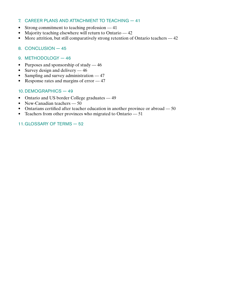## 7. CAREER PLANS AND ATTACHMENT TO TEACHING — 41

- Strong commitment to teaching profession 41
- Majority teaching elsewhere will return to Ontario  $-42$
- More attrition, but still comparatively strong retention of Ontario teachers  $-42$
- 8. CONCLUSION 45
- 9. METHODOLOGY 46
- Purposes and sponsorship of study  $-46$
- Survey design and delivery  $-46$
- Sampling and survey administration  $-47$
- Response rates and margins of error  $-47$

## 10. DEMOGRAPHICS — 49

- Ontario and US border College graduates 49
- New-Canadian teachers 50
- Ontarians certified after teacher education in another province or abroad  $-50$
- Teachers from other provinces who migrated to Ontario  $-51$

## 11.GLOSSARY OF TERMS — 52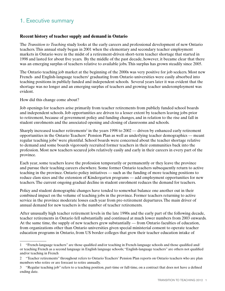## 1. Executive summary

## **Recent history of teacher supply and demand in Ontario**

The *Transition to Teaching* study looks at the early careers and professional development of new Ontario teachers.This annual study began in 2001 when the elementary and secondary teacher employment markets in Ontario were in the midst of a retirement-driven short-term teacher shortage that started in 1998 and lasted for about five years. By the middle of the past decade, however, it became clear that there was an emerging surplus of teachers relative to available jobs.This surplus has grown steadily since 2005.

The Ontario teaching job market at the beginning of the 2000s was very positive for job seekers. Most new French- and English-language teachers<sup>1</sup> graduating from Ontario universities were easily absorbed into teaching positions in publicly funded and independent schools. Several years later it was evident that the shortage was no longer and an emerging surplus of teachers and growing teacher underemployment was evident.

How did this change come about?

Job openings for teachers arise primarily from teacher retirements from publicly funded school boards and independent schools. Job opportunities are driven to a lesser extent by teachers leaving jobs prior to retirement, because of government policy and funding changes, and in relation to the rise and fall in student enrolments and the associated opening and closing of classrooms and schools.

Sharply increased teacher retirements<sup>2</sup> in the years 1998 to  $2002$  — driven by enhanced early retirement opportunities in the Ontario Teachers' Pension Plan as well as underlying teacher demographics — meant regular teaching jobs<sup>3</sup> were plentiful. School boards were concerned about the teacher shortage relative to demand and some boards vigorously recruited former teachers in their communities back into the profession. Most new teachers secured jobs relatively easily and early in their careers in every part of the province.

Each year, some teachers leave the profession temporarily or permanently or they leave the province and pursue their teaching careers elsewhere. Some former Ontario teachers subsequently return to active teaching in the province. Ontario policy initiatives — such as the funding of more teaching positions to reduce class sizes and the extension of Kindergarten programs — add employment opportunities for new teachers.The current ongoing gradual decline in student enrolment reduces the demand for teachers.

Policy and student demographic changes have tended to somewhat balance one another out in their combined impact on the volume of teaching jobs in the province. Former teachers returning to active service in the province moderate losses each year from pre-retirement departures.The main driver of annual demand for new teachers is the number of teacher retirements.

After unusually high teacher retirement levels in the late 1990s and the early part of the following decade, teacher retirements in Ontario fell substantially and continued at much lower numbers from 2003 onwards. At the same time, the supply of new teachers grew substantially — from Ontario faculties of education, from organizations other than Ontario universities given special ministerial consent to operate teacher education programs in Ontario, from US border colleges that grew their teacher education intake of

<sup>1 &</sup>quot;French-language teachers" are those qualified and/or teaching in French-language schools and those qualified and/ or teaching French as a second language in English language schools; "English-language teachers" are others not qualified and/or teaching in French

<sup>2 &</sup>quot;Teacher retirements" throughout refers to Ontario Teachers' Pension Plan reports on Ontario teachers who are plan members who retire or are forecast to retire annually.

<sup>3 &</sup>quot;Regular teaching job" refers to a teaching position, part-time or full-time, on a contract that does not have a defined ending date.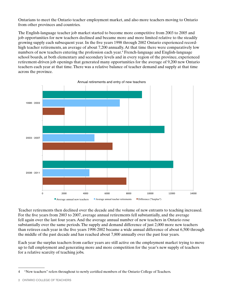Ontarians to meet the Ontario teacher employment market, and also more teachers moving to Ontario from other provinces and countries.

The English-language teacher job market started to become more competitive from 2003 to 2005 and job opportunities for new teachers declined and became more and more limited relative to the steadily growing supply each subsequent year. In the five years 1998 through 2002 Ontario experienced recordhigh teacher retirements, an average of about 7,200 annually. At that time there were comparatively low numbers of new teachers entering the profession each year.4 French-language and English-language school boards, at both elementary and secondary levels and in every region of the province, experienced retirement-driven job openings that generated many opportunities for the average of 9,200 new Ontario teachers each year at that time.There was a relative balance of teacher demand and supply at that time across the province.



Teacher retirements then declined over the decade and the volume of new entrants to teaching increased. For the five years from 2003 to 2007, average annual retirements fell substantially, and the average fell again over the last four years. And the average annual number of new teachers in Ontario rose substantially over the same periods.The supply and demand difference of just 2,000 more new teachers than retirees each year in the five years 1998-2002 became a wide annual difference of about 6,500 through the middle of the past decade and has reached about 7,800 annually over the past four years.

Each year the surplus teachers from earlier years are still active on the employment market trying to move up to full employment and generating more and more competition for the year's new supply of teachers for a relative scarcity of teaching jobs.

<sup>4 &</sup>quot;New teachers" refers throughout to newly certified members of the Ontario College of Teachers.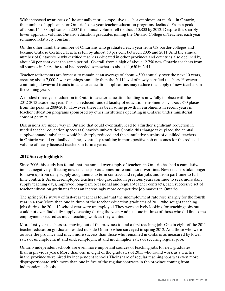With increased awareness of the annually more competitive teacher employment market in Ontario, the number of applicants for Ontario's one-year teacher education programs declined. From a peak of about 16,500 applicants in 2007 the annual volume fell to about 10,800 by 2012. Despite this sharply lower applicant volume, Ontario education graduates joining the Ontario College of Teachers each year remained relatively constant.

On the other hand, the number of Ontarians who graduated each year from US border-colleges and became Ontario Certified Teachers fell by almost 50 per cent between 2006 and 2011. And the annual number of Ontario's newly certified teachers educated in other provinces and countries also declined by about 30 per cent over the same period. Overall, from a high of about 12,750 new Ontario teachers from all sources in 2008, the total had receded somewhat to about 11,650 in 2011.

Teacher retirements are forecast to remain at an average of about 4,500 annually over the next 10 years, creating about 7,000 fewer openings annually than the 2011 level of newly certified teachers. However, continuing downward trends in teacher education applications may reduce the supply of new teachers in the coming years.

A modest three-year reduction in Ontario teacher education funding is now fully in place with the 2012-2013 academic year.This has reduced funded faculty of education enrolments by about 850 places from the peak in 2009-2010. However, there has been some growth in enrolments in recent years in teacher education programs sponsored by other institutions operating in Ontario under ministerial consent permits.

Discussions are under way in Ontario that could eventually lead to a further significant reduction in funded teacher education spaces at Ontario's universities. Should this change take place, the annual supply/demand imbalance would be sharply reduced and the cumulative surplus of qualified teachers in Ontario would gradually decline, eventually resulting in more positive job outcomes for the reduced volume of newly licensed teachers in future years.

## **2012 Survey highlights**

Since 2006 this study has found that the annual oversupply of teachers in Ontario has had a cumulative impact negatively affecting new teacher job outcomes more and more over time. New teachers take longer to move up from daily supply assignments to term contract and regular jobs and from part-time to fulltime contracts. As underemployed teachers who graduated in previous years continue to seek more daily supply teaching days, improved long-term occasional and regular-teacher contracts, each successive set of teacher education graduates faces an increasingly more competitive job market in Ontario.

The spring 2012 survey of first-year teachers found that the unemployment rate rose sharply for the fourth year in a row. More than one in three of the teacher education graduates of 2011 who sought teaching jobs during the 2011-12 school year were unemployed.They were actively looking for teaching jobs but could not even find daily supply teaching during the year. And just one in three of those who did find some employment secured as much teaching work as they wanted.

More first-year teachers are moving out of the province to find a first teaching job. One in eight of the 2011 teacher education graduates resided outside Ontario when surveyed in spring 2012. And those who were outside the province had much more success than those who remained in Ontario as measured by lower rates of unemployment and underemployment and much higher rates of securing regular jobs.

Ontario independent schools are even more important sources of teaching jobs for new graduates than in previous years. More than one in eight of the graduates of 2011 who found work as a teacher in the province were hired by independent schools.Their share of regular teaching jobs was even more disproportionate, with more than one in five of the regular contracts in the province coming from independent schools.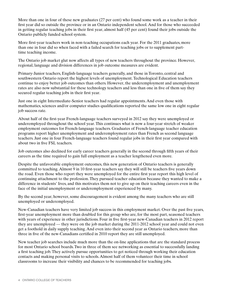More than one in four of these new graduates (27 per cent) who found some work as a teacher in their first year did so outside the province or in an Ontario independent school. And for those who succeeded in getting regular teaching jobs in their first year, almost half (45 per cent) found their jobs outside the Ontario publicly funded school system.

More first-year teachers work in non-teaching occupations each year. For the 2011 graduates, more than one in four did so when faced with a failed search for teaching jobs or to supplement parttime teaching income.

The Ontario job market glut now affects all types of new teachers throughout the province. However, regional, language and division differences in job outcome measures are evident.

Primary-Junior teachers, English-language teachers generally, and those in Toronto, central and southwestern Ontario report the highest levels of unemployment.Technological Education teachers continue to enjoy better job outcomes than others. However, the underemployment and unemployment rates are also now substantial for these technology teachers and less than one in five of them say they secured regular teaching jobs in their first year.

Just one in eight Intermediate-Senior teachers had regular appointments. And even those with mathematics, sciences and/or computer studies qualifications reported the same low one in eight regular job success rate.

About half of the first-year French-language teachers surveyed in 2012 say they were unemployed or underemployed throughout the school year.This continues what is now a four-year stretch of weaker employment outcomes for French-language teachers. Graduates of French-language teacher education programs report higher unemployment and underemployment rates than French as second language teachers. Just one in four French-language teachers found regular jobs in their first year compared with about two in five FSL teachers.

Job outcomes also declined for early career teachers generally in the second through fifth years of their careers as the time required to gain full employment as a teacher lengthened even more.

Despite the unfavorable employment outcomes, this new generation of Ontario teachers is generally committed to teaching. Almost 9 in 10 first-year teachers say they will still be teachers five years down the road. Even those who report they were unemployed for the entire first year report this high level of continuing attachment to the profession.They pursued teacher education because they wanted to make a difference in students' lives, and this motivates them not to give up on their teaching careers even in the face of the initial unemployment or underemployment experienced by many.

By the second year, however, some discouragement is evident among the many teachers who are still unemployed or underemployed.

New-Canadian teachers have very limited job success in this employment market. Over the past five years, first-year unemployment more than doubled for this group who are, for the most part, seasoned teachers with years of experience in other jurisdictions. Four in five first-year new-Canadian teachers in 2012 report they are unemployed — they were on the job market during the 2011-2012 school year and could not even get a foothold in daily supply teaching. And even into their second year as Ontario teachers, more than three in five of the new-Canadians certified in 2010 report they are still unemployed.

New teacher job searches include much more than the on-line applications that are the standard process for most Ontario school boards.Two in three of them see networking as essential to successfully landing a first teaching job.They actively pursue opportunities to get noticed through working their education contacts and making personal visits to schools. Almost half of them volunteer their time in school classrooms to increase their visibility and chances to be recommended for teaching jobs.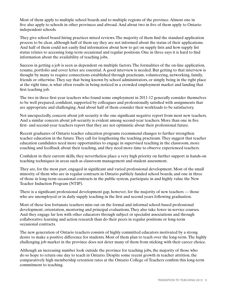Most of them apply to multiple school boards and to multiple regions of the province. Almost one in five also apply to schools in other provinces and abroad. And about two in five of them apply to Ontario independent schools.

They give school board hiring practices mixed reviews.The majority of them find the standard application process to be clear, although half of them say they are not informed about the status of their applications. And half of them could not easily find information about how to get on supply lists and how supply list status relates to accessing long-term occasional and regular positions. One in three says it is hard to find information about the availability of teaching jobs.

Success in getting a job is seen as dependent on multiple factors.The formalities of the on-line application, resume, portfolio and cover letter are essential. A good interview is needed. But getting to that interview is thought by many to require connections established through practicum, volunteering, networking, family, friends or otherwise.They say that being known by school administrators, or simply being in the right place at the right time, is what often results in being noticed in a crowded employment market and landing that first teaching job.

The two in three first-year teachers who found some employment in 2011-12 generally consider themselves to be well prepared, confident, supported by colleagues and professionally satisfied with assignments that are appropriate and challenging. And about half of them consider their workloads to be satisfactory.

Not unexpectedly, concern about job security is the one significant negative report from most new teachers. And a similar concern about job security is evident among second-year teachers. More than one in five first- and second-year teachers report that they are not optimistic about their professional future.

Recent graduates of Ontario teacher education programs recommend changes to further strengthen teacher education in the future.They call for lengthening the teaching practicum.They suggest that teacher education candidates need more opportunities to engage in supervised teaching in the classroom, more coaching and feedback about their teaching, and they need more time to observe experienced teachers.

Confident in their current skills, they nevertheless place a very high priority on further support in hands-on teaching techniques in areas such as classroom management and student assessment.

They are, for the most part, engaged in significant and varied professional development. Most of the small minority of them who are in regular contracts in Ontario publicly funded school boards, and one in three of those in long-term occasional contracts in the public system, participate in and highly value the New Teacher Induction Program (NTIP).

There is a significant professional development gap, however, for the majority of new teachers — those who are unemployed or in daily supply teaching in the first and second years following graduation.

Most of these less fortunate teachers miss out on the formal and informal school-based professional development, orientation, mentoring and principal evaluations.They also take fewer in-service courses. And they engage far less with other educators through subject or specialist associations and through collaborative learning and action research than do their peers in regular positions or long-term occasional contracts.

The new generation of Ontario teachers consists of highly committed educators motivated by a strong desire to make a positive difference for students. Most of them plan to teach over the long-term.The highly challenging job market in the province does not deter many of them from sticking with their career choice.

Although an increasing number look outside the province for teaching jobs, the majority of those who do so hope to return one day to teach in Ontario. Despite some recent growth in teacher attrition, the comparatively high membership retention rates at the Ontario College of Teachers confirm this long-term commitment to teaching.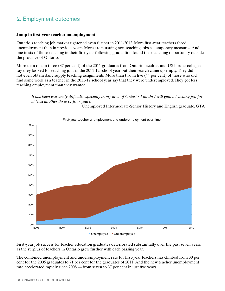# 2. Employment outcomes

### **Jump in first-year teacher unemployment**

Ontario's teaching job market tightened even further in 2011-2012. More first-year teachers faced unemployment than in previous years. More are pursuing non-teaching jobs as temporary measures. And one in six of those teaching in their first year following graduation found their teaching opportunity outside the province of Ontario.

More than one in three (37 per cent) of the 2011 graduates from Ontario faculties and US border colleges say they looked for teaching jobs in the 2011-12 school year but their search came up empty.They did not even obtain daily supply teaching assignments. More than two in five (44 per cent) of those who did find some work as a teacher in the 2011-12 school year say that they were underemployed.They got less teaching employment than they wanted.

### *It has been extremely difficult, especially in my area of Ontario. I doubt I will gain a teaching job for at least another three or four years.*

Unemployed Intermediate-Senior History and English graduate, GTA



First-year teacher unemployment and underemployment over time

First-year job success for teacher education graduates deteriorated substantially over the past seven years as the surplus of teachers in Ontario grew further with each passing year.

The combined unemployment and underemployment rate for first-year teachers has climbed from 30 per cent for the 2005 graduates to 71 per cent for the graduates of 2011. And the new teacher unemployment rate accelerated rapidly since 2008 — from seven to 37 per cent in just five years.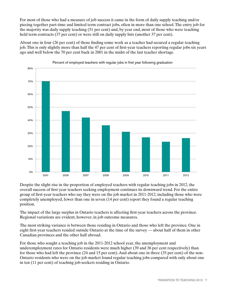For most of those who had a measure of job success it came in the form of daily supply teaching and/or piecing together part-time and limited term contract jobs, often in more than one school.The entry job for the majority was daily supply teaching (51 per cent) and, by year end, most of those who were teaching held term contracts (37 per cent) or were still on daily supply lists (another 37 per cent).

About one in four (26 per cent) of those finding some work as a teacher had secured a regular teaching job.This is only slightly more than half the 47 per cent of first-year teachers reporting regular jobs six years ago and well below the 70 per cent back in 2001 in the midst of the last teacher shortage.



Percent of employed teachers with regular jobs in first year following graduation

Despite the slight rise in the proportion of employed teachers with regular teaching jobs in 2012, the overall success of first year teachers seeking employment continues its downward trend. For the entire group of first-year teachers who say they were on the job market in 2011-2012, including those who were completely unemployed, fewer than one in seven (14 per cent) report they found a regular teaching position.

The impact of the large surplus in Ontario teachers is affecting first-year teachers across the province. Regional variations are evident, however, in job outcome measures.

The most striking variance is between those residing in Ontario and those who left the province. One in eight first-year teachers resided outside Ontario at the time of the survey — about half of them in other Canadian provinces and the other half abroad.

For those who sought a teaching job in the 2011-2012 school year, the unemployment and underemployment rates for Ontario residents were much higher (39 and 36 per cent respectively) than for those who had left the province (24 and 15 per cent). And about one in three (35 per cent) of the non-Ontario residents who were on the job market found regular teaching jobs compared with only about one in ten (11 per cent) of teaching job-seekers residing in Ontario.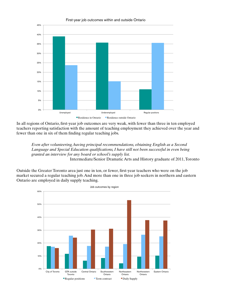

In all regions of Ontario, first-year job outcomes are very weak, with fewer than three in ten employed teachers reporting satisfaction with the amount of teaching employment they achieved over the year and fewer than one in six of them finding regular teaching jobs.

*Even after volunteering, having principal recommendations, obtaining English as a Second Language and Special Education qualifications, I have still not been successful in even being granted an interview for any board or school's supply list.*  Intermediate/Senior Dramatic Arts and History graduate of 2011,Toronto

Outside the Greater Toronto area just one in ten, or fewer, first-year teachers who were on the job market secured a regular teaching job. And more than one in three job seekers in northern and eastern Ontario are employed in daily supply teaching.

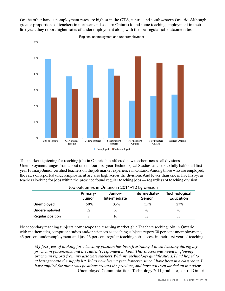On the other hand, unemployment rates are highest in the GTA, central and southwestern Ontario.Although greater proportions of teachers in northern and eastern Ontario found some teaching employment in their first year, they report higher rates of underemployment along with the low regular job outcome rates.



Regional unemployment and underemployment

The market tightening for teaching jobs in Ontario has affected new teachers across all divisions. Unemployment ranges from about one in four first-year Technological Studies teachers to fully half of all firstyear Primary-Junior certified teachers on the job market experience in Ontario.Among those who are employed, the rates of reported underemployment are also high across the divisions.And fewer than one in five first-year teachers looking for jobs within the province found regular teaching jobs — regardless of teaching division.

| Job outcomes in Ontario in 2011-12 by division |                    |                         |                                |                                   |
|------------------------------------------------|--------------------|-------------------------|--------------------------------|-----------------------------------|
|                                                | Primary-<br>Junior | Junior-<br>Intermediate | Intermediate-<br><b>Senior</b> | Technological<br><b>Education</b> |
| Unemployed                                     | 50%                | 33%                     | 35%                            | 27%                               |
| Underemployed                                  | 32                 | 36                      | 42                             | 48                                |
| <b>Regular position</b>                        | 8                  | 16                      | 12                             | 18                                |

No secondary teaching subjects now escape the teaching market glut.Teachers seeking jobs in Ontario with mathematics, computer studies and/or sciences as teaching subjects report 30 per cent unemployment, 43 per cent underemployment and just 13 per cent regular teaching job success in their first year of teaching.

*My first year of looking for a teaching position has been frustrating. I loved teaching during my practicum placements, and the students responded in kind. This success was noted in glowing practicum reports from my associate teachers. With my technology qualifications, I had hoped to at least get onto the supply list. It has now been a year, however, since I have been in a classroom. I have applied for numerous positions around the province, and have not even landed an interview.*  Unemployed Communications Technology 2011 graduate, central Ontario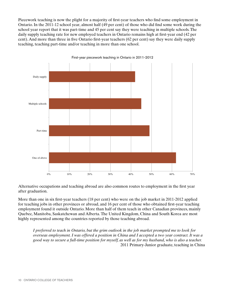Piecework teaching is now the plight for a majority of first-year teachers who find some employment in Ontario. In the 2011-12 school year, almost half (49 per cent) of those who did find some work during the school year report that it was part-time and 45 per cent say they were teaching in multiple schools.The daily supply teaching rate for new employed teachers in Ontario remains high at first-year end (42 per cent). And more than three in five Ontario first-year teachers (62 per cent) say they were daily supply teaching, teaching part-time and/or teaching in more than one school.



Alternative occupations and teaching abroad are also common routes to employment in the first year after graduation.

More than one in six first-year teachers (18 per cent) who were on the job market in 2011-2012 applied for teaching jobs in other provinces or abroad, and 16 per cent of those who obtained first-year teaching employment found it outside Ontario. More than half of them teach in other Canadian provinces, mainly Quebec, Manitoba, Saskatchewan and Alberta.The United Kingdom, China and South Korea are most highly represented among the countries reported by those teaching abroad.

*I preferred to teach in Ontario, but the grim outlook in the job market prompted me to look for overseas employment. I was offered a position in China and I accepted a two year contract. It was a good way to secure a full-time position for myself, as well as for my husband, who is also a teacher.* 2011 Primary-Junior graduate, teaching in China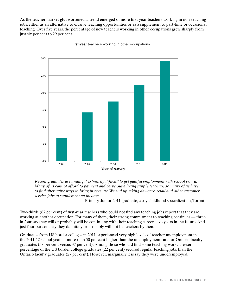As the teacher market glut worsened, a trend emerged of more first-year teachers working in non-teaching jobs, either as an alternative to elusive teaching opportunities or as a supplement to part-time or occasional teaching. Over five years, the percentage of new teachers working in other occupations grew sharply from just six per cent to 29 per cent.



First-year teachers working in other occupations

*Recent graduates are finding it extremely difficult to get gainful employment with school boards. Many of us cannot afford to pay rent and carve out a living supply teaching, so many of us have to find alternative ways to bring in revenue. We end up taking day-care, retail and other customer service jobs to supplement an income.*

Primary-Junior 2011 graduate, early childhood specialization,Toronto

Two-thirds (67 per cent) of first-year teachers who could not find any teaching jobs report that they are working at another occupation. For many of them, their strong commitment to teaching continues — three in four say they will or probably will be continuing with their teaching careers five years in the future. And just four per cent say they definitely or probably will not be teachers by then.

Graduates from US border colleges in 2011 experienced very high levels of teacher unemployment in the 2011-12 school year — more than 50 per cent higher than the unemployment rate for Ontario faculty graduates (58 per cent versus 37 per cent). Among those who did find some teaching work, a lesser percentage of the US border college graduates (22 per cent) secured regular teaching jobs than the Ontario faculty graduates (27 per cent). However, marginally less say they were underemployed.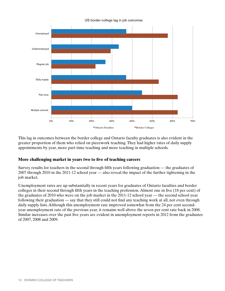US border-college lag in job outcomes



This lag in outcomes between the border college and Ontario faculty graduates is also evident in the greater proportion of them who relied on piecework teaching.They had higher rates of daily supply appointments by year, more part-time teaching and more teaching in multiple schools.

### **More challenging market in years two to five of teaching careers**

Survey results for teachers in the second through fifth years following graduation — the graduates of 2007 through 2010 in the 2011-12 school year — also reveal the impact of the further tightening in the job market.

Unemployment rates are up substantially in recent years for graduates of Ontario faculties and border colleges in their second through fifth years in the teaching profession. Almost one in five (18 per cent) of the graduates of 2010 who were on the job market in the 2011-12 school year — the second school year following their graduation — say that they still could not find any teaching work at all, not even through daily supply lists. Although this unemployment rate improved somewhat from the 24 per cent secondyear unemployment rate of the previous year, it remains well above the seven per cent rate back in 2008. Similar increases over the past five years are evident in unemployment reports in 2012 from the graduates of 2007, 2008 and 2009.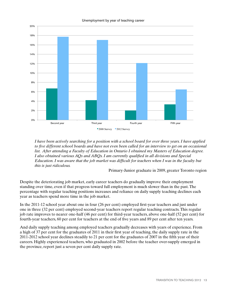

Unemployment by year of teaching career

*I have been actively searching for a position with a school board for over three years. I have applied to five different school boards and have not even been called for an interview to get on an occasional list. After attending a Faculty of Education in Ontario I obtained my Masters of Education degree. I also obtained various AQs and ABQs. I am currently qualified in all divisions and Special Education. I was aware that the job market was difficult for teachers when I was in the faculty but this is just ridiculous.*

Primary-Junior graduate in 2009, greater Toronto region

Despite the deteriorating job market, early career teachers do gradually improve their employment standing over time, even if that progress toward full employment is much slower than in the past.The percentage with regular teaching positions increases and reliance on daily supply teaching declines each year as teachers spend more time in the job market.

In the 2011-12 school year about one in four (26 per cent) employed first-year teachers and just under one in three (32 per cent) employed second-year teachers report regular teaching contracts.This regular job rate improves to nearer one-half (46 per cent) for third-year teachers, above one-half (52 per cent) for fourth-year teachers, 60 per cent for teachers at the end of five years and 89 per cent after ten years.

And daily supply teaching among employed teachers gradually decreases with years of experience. From a high of 37 per cent for the graduates of 2011 in their first year of teaching, the daily supply rate in the 2011-2012 school year declines steadily to 21 per cent for the graduates of 2007 in the fifth year of their careers. Highly experienced teachers, who graduated in 2002 before the teacher over-supply emerged in the province, report just a seven per cent daily supply rate.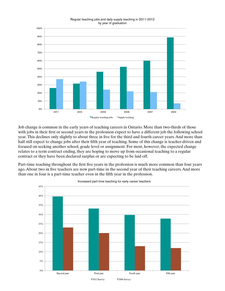#### Regular teaching jobs and daily supply teaching in 2011-2012 by year of graduation



Job change is common in the early years of teaching careers in Ontario. More than two-thirds of those with jobs in their first or second years in the profession expect to have a different job the following school year.This declines only slightly to about three in five for the third and fourth career years. And more than half still expect to change jobs after their fifth year of teaching. Some of this change is teacher-driven and focused on seeking another school, grade level or assignment. For most, however, the expected change relates to a term contract ending, they are hoping to move up from occasional teaching to a regular contract or they have been declared surplus or are expecting to be laid off.

Part-time teaching throughout the first five years in the profession is much more common than four years ago. About two in five teachers are now part-time in the second year of their teaching careers. And more than one in four is a part-time teacher even in the fifth year in the profession.



Increased part-time teaching for early career teachers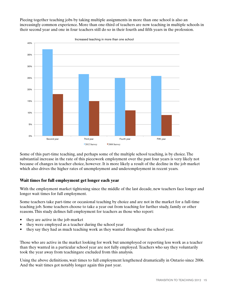Piecing together teaching jobs by taking multiple assignments in more than one school is also an increasingly common experience. More than one-third of teachers are now teaching in multiple schools in their second year and one in four teachers still do so in their fourth and fifth years in the profession.



Some of this part-time teaching, and perhaps some of the multiple school teaching, is by choice.The substantial increase in the rate of this piecework employment over the past four years is very likely not because of changes in teacher choice, however. It is more likely a result of the decline in the job market which also drives the higher rates of unemployment and underemployment in recent years.

## **Wait times for full employment get longer each year**

With the employment market tightening since the middle of the last decade, new teachers face longer and longer wait times for full employment.

Some teachers take part-time or occasional teaching by choice and are not in the market for a full-time teaching job. Some teachers choose to take a year out from teaching for further study, family or other reasons.This study defines full employment for teachers as those who report:

- they are active in the job market
- they were employed as a teacher during the school year
- they say they had as much teaching work as they wanted throughout the school year.

Those who are active in the market looking for work but unemployed or reporting less work as a teacher than they wanted in a particular school year are not fully employed.Teachers who say they voluntarily took the year away from teachingare excluded from this analysis.

Using the above definitions, wait times to full employment lengthened dramatically in Ontario since 2006. And the wait times got notably longer again this past year.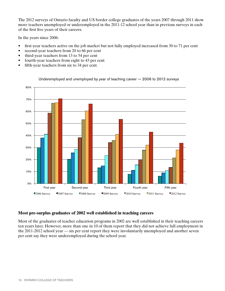The 2012 surveys of Ontario faculty and US border college graduates of the years 2007 through 2011 show more teachers unemployed or underemployed in the 2011-12 school year than in previous surveys in each of the first five years of their careers.

In the years since 2006:

- first-year teachers active on the job market but not fully employed increased from 30 to 71 per cent
- second-year teachers from 20 to 66 per cent
- third-year teachers from 13 to 54 per cent
- fourth-year teachers from eight to 43 per cent
- fifth-year teachers from six to 34 per cent.



Underemployed and unemployed by year of teaching career — 2006 to 2012 surveys

## **Most pre-surplus graduates of 2002 well established in teaching careers**

Most of the graduates of teacher education programs in 2002 are well established in their teaching careers ten years later. However, more than one in 10 of them report that they did not achieve full employment in the 2011-2012 school year — six per cent report they were involuntarily unemployed and another seven per cent say they were underemployed during the school year.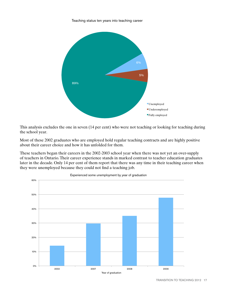Teaching status ten years into teaching career



This analysis excludes the one in seven (14 per cent) who were not teaching or looking for teaching during the school year.

Most of these 2002 graduates who are employed hold regular teaching contracts and are highly positive about their career choice and how it has unfolded for them.

These teachers began their careers in the 2002-2003 school year when there was not yet an over-supply of teachers in Ontario.Their career experience stands in marked contrast to teacher education graduates later in the decade. Only 14 per cent of them report that there was any time in their teaching career when they were unemployed because they could not find a teaching job.



Experienced some unemployment by year of graduation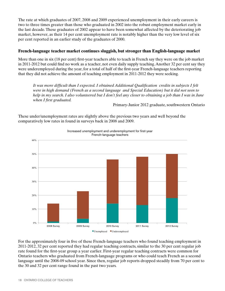The rate at which graduates of 2007, 2008 and 2009 experienced unemployment in their early careers is two to three times greater than those who graduated in 2002 into the robust employment market early in the last decade.These graduates of 2002 appear to have been somewhat affected by the deteriorating job market, however, as their 14 per cent unemployment rate is notably higher than the very low level of six per cent reported in an earlier study of the graduates of 2000.

### **French-language teacher market continues sluggish, but stronger than English-language market**

More than one in six (18 per cent) first-year teachers able to teach in French say they were on the job market in 2011-2012 but could find no work as a teacher, not even daily supply teaching.Another 32 per cent say they were underemployed during the year, for a total of half of the first-year French-language teachers reporting that they did not achieve the amount of teaching employment in 2011-2012 they were seeking.

*It was more difficult than I expected. I obtained Additional Qualification credits in subjects I felt were in high demand (French as a second language and Special Education) but it did not seen to help in my search. I also volunteered but I don't feel any closer to obtaining a job than I was in June when I first graduated.*

Primary-Junior 2012 graduate, southwestern Ontario

These under/unemployment rates are slightly above the previous two years and well beyond the comparatively low rates in found in surveys back in 2008 and 2009.



Increased unemployment and underemployment for first-year French-language teachers

For the approximately four in five of these French-language teachers who found teaching employment in 2011-2012, 32 per cent reported they had regular teaching contracts, similar to the 30 per cent regular job rate found for the first-year group a year earlier. First-year regular teaching contracts were common for Ontario teachers who graduated from French-language programs or who could teach French as a second language until the 2008-09 school year. Since then, regular job reports dropped steadily from 70 per cent to the 30 and 32 per cent range found in the past two years.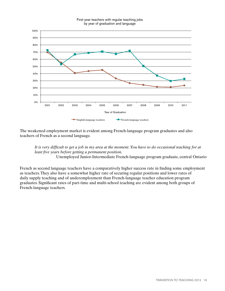#### First-year teachers with regular teaching jobs by year of graduation and language



The weakened employment market is evident among French-language program graduates and also teachers of French as a second language.

*It is very difficult to get a job in my area at the moment. You have to do occasional teaching for at least five years before getting a permanent position.* Unemployed Junior-Intermediate French-language program graduate, central Ontario

French as second language teachers have a comparatively higher success rate in finding some employment as teachers.They also have a somewhat higher rate of securing regular positions and lower rates of daily supply teaching and of underemployment than French-language teacher education program graduates. Significant rates of part-time and multi-school teaching are evident among both groups of French-language teachers.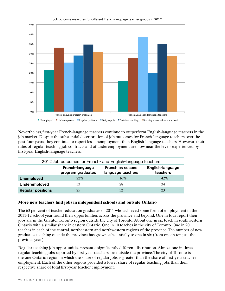

Job outcome measures for different French-language teacher groups in 2012

Nevertheless, first-year French-language teachers continue to outperform English-language teachers in the job market. Despite the substantial deterioration of job outcomes for French-language teachers over the past four years, they continue to report less unemployment than English-language teachers. However, their rates of regular teaching job contracts and of underemployment are now near the levels experienced by first-year English-language teachers.

| 2012 Job outcomes for French- and English-language teachers |                                                                                                               |     |        |  |  |
|-------------------------------------------------------------|---------------------------------------------------------------------------------------------------------------|-----|--------|--|--|
|                                                             | English-language<br>French-language<br>French as second<br>program graduates<br>teachers<br>language teachers |     |        |  |  |
| <b>Unemployed</b>                                           | 22%                                                                                                           | 16% | $42\%$ |  |  |
| Underemployed                                               | 33                                                                                                            | 28  | 34     |  |  |
| <b>Regular positions</b>                                    | 25                                                                                                            | 32  | 23     |  |  |

### **More new teachers find jobs in independent schools and outside Ontario**

The 63 per cent of teacher education graduates of 2011 who achieved some form of employment in the 2011-12 school year found their opportunities across the province and beyond. One in four report their jobs are in the Greater Toronto region outside the city of Toronto. About one in six teach in southwestern Ontario with a similar share in eastern Ontario. One in 10 teaches in the city of Toronto. One in 20 teaches in each of the central, northeastern and northwestern regions of the province.The number of new graduates teaching outside the province has grown substantially to one in six (from one in ten just the previous year).

Regular teaching job opportunities present a significantly different distribution. Almost one in three regular teaching jobs reported by first-year teachers are outside the province.The city of Toronto is the one Ontario region in which the share of regular jobs is greater than the share of first-year teacher employment. Each of the other regions provided a lower share of regular teaching jobs than their respective share of total first-year teacher employment.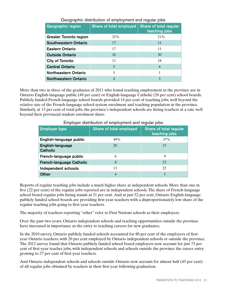| <b>Geographic region</b>      | Share of total employed | Share of total regular<br>teaching jobs |
|-------------------------------|-------------------------|-----------------------------------------|
| <b>Greater Toronto region</b> | 25%                     | 21%                                     |
| <b>Southwestern Ontario</b>   | 17                      | 11                                      |
| <b>Eastern Ontario</b>        | 17                      | 11                                      |
| <b>Outside Ontario</b>        | 16                      | 30                                      |
| City of Toronto               | 11                      | 18                                      |
| <b>Central Ontario</b>        | 5                       | 4                                       |
| <b>Northeastern Ontario</b>   | 5                       | 1                                       |
| <b>Northwestern Ontario</b>   | 4                       | 3                                       |

## Geographic distribution of employment and regular jobs

More than two in three of the graduates of 2011 who found teaching employment in the province are in Ontario English-language public (49 per cent) or English-language Catholic (20 per cent) school boards. Publicly funded French-language school boards provided 14 per cent of teaching jobs, well beyond the relative size of the French-language school system enrolment and teaching population in the province. Similarly, at 13 per cent of total jobs, the province's independent schools are hiring teachers at a rate well beyond their provincial student enrolment share.

| <b>Employer type</b>                | <b>Share of total employed</b> | Share of total regular<br>teaching jobs |
|-------------------------------------|--------------------------------|-----------------------------------------|
| English-language public             | 49%                            | 37%                                     |
| English-language<br><b>Catholic</b> | 20                             | 15                                      |
| French-language public              | 6                              |                                         |
| <b>French-language Catholic</b>     | 8                              | 12                                      |
| Independent schools                 | 13                             | 22                                      |
| <b>Other</b>                        | 4                              |                                         |

#### Employer distribution of employment and regular jobs

Reports of regular teaching jobs include a much higher share at independent schools. More than one in five (22 per cent) of the regular jobs reported are in independent schools.The share of French-language school board regular jobs hiring stands at 21 per cent. And at just 52 per cent, Ontario English-language publicly funded school boards are providing first-year teachers with a disproportionately low share of the regular teaching jobs going to first-year teachers.

The majority of teachers reporting "other" refer to First Nations schools as their employers.

Over the past two years, Ontario independent schools and teaching opportunities outside the province have increased in importance as the entry to teaching careers for new graduates.

In the 2010 survey, Ontario publicly funded schools accounted for 80 per cent of the employers of firstyear Ontario teachers, with 20 per cent employed by Ontario independent schools or outside the province. The 2012 survey found that Ontario publicly funded school board employers now account for just 73 per cent of first-year teacher jobs, with independent schools and schools outside the province the career entry growing to 27 per cent of first-year teachers.

And Ontario independent schools and schools outside Ontario now account for almost half (45 per cent) of all regular jobs obtained by teachers in their first year following graduation.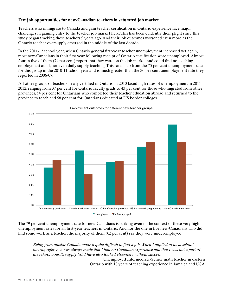## **Few job opportunities for new-Canadian teachers in saturated job market**

Teachers who immigrate to Canada and gain teacher certification in Ontario experience face major challenges in gaining entry to the teacher job market here.This has been evidently their plight since this study began tracking these teachers 9 years ago. And their job outcomes worsened even more as the Ontario teacher oversupply emerged in the middle of the last decade.

In the 2011-12 school year, when Ontario general first-year teacher unemployment increased yet again, most new-Canadians in their first year following receipt of Ontario certification were unemployed. Almost four in five of them (79 per cent) report that they were on the job market and could find no teaching employment at all, not even daily supply teaching.This rate is up from the 75 per cent unemployment rate for this group in the 2010-11 school year and is much greater than the 36 per cent unemployment rate they reported in 2006-07.

All other groups of teachers newly certified in Ontario in 2010 faced high rates of unemployment in 2011- 2012, ranging from 37 per cent for Ontario faculty grads to 43 per cent for those who migrated from other provinces, 54 per cent for Ontarians who completed their teacher education abroad and returned to the province to teach and 58 per cent for Ontarians educated at US border colleges.



Employment outcomes for different new-teacher groups

The 79 per cent unemployment rate for new-Canadians is striking even in the context of these very high unemployment rates for all first-year teachers in Ontario. And, for the one in five new-Canadians who did find some work as a teacher, the majority of them (62 per cent) say they were underemployed.

*Being from outside Canada made it quite difficult to find a job. When I applied to local school*  boards, reference was always made that I had no Canadian experience and that I was not a part of *the school board's supply list. I have also looked elsewhere without success.*

 Unemployed Intermediate-Senior math teacher in eastern Ontario with 10 years of teaching experience in Jamaica and USA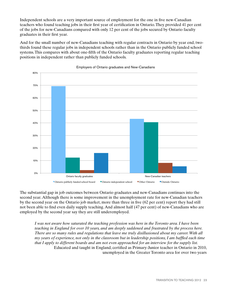Independent schools are a very important source of employment for the one in five new-Canadian teachers who found teaching jobs in their first year of certification in Ontario.They provided 41 per cent of the jobs for new-Canadians compared with only 12 per cent of the jobs secured by Ontario faculty graduates in their first year.

And for the small number of new-Canadians teaching with regular contracts in Ontario by year end, twothirds found these regular jobs in independent schools rather than in the Ontario publicly funded school systems.This compares with about one-fifth of the Ontario faculty graduates reporting regular teaching positions in independent rather than publicly funded schools.





The substantial gap in job outcomes between Ontario graduates and new-Canadians continues into the second year. Although there is some improvement in the unemployment rate for new-Canadian teachers by the second year on the Ontario job market, more than three in five (62 per cent) report they had still not been able to find even daily supply teaching. And almost half (47 per cent) of new-Canadians who are employed by the second year say they are still underemployed.

*I was not aware how saturated the teaching profession was here in the Toronto area. I have been teaching in England for over 10 years, and am deeply saddened and frustrated by the process here. There are so many rules and regulations that leave me truly disillusioned about my career. With all my years of experience, not only in the classroom but in leadership positions, I am baffled each time that I apply to different boards and am not even approached for an interview for the supply list.* Educated and taught in England, certified as Primary-Junior teacher in Ontario in 2010, unemployed in the Greater Toronto area for over two years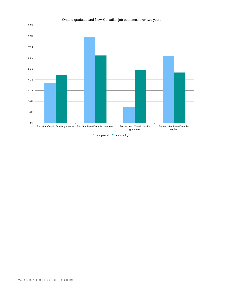

#### Ontario graduate and New-Canadian job outcomes over two years

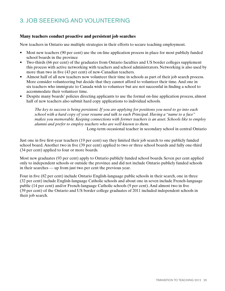# 3. JOB SEEEKING AND VOLUNTEERING

## **Many teachers conduct proactive and persistent job searches**

New teachers in Ontario use multiple strategies in their efforts to secure teaching employment.

- Most new teachers (90 per cent) use the on-line application process in place for most publicly funded school boards in the province
- Two-thirds (66 per cent) of the graduates from Ontario faculties and US border colleges supplement this process with active networking with teachers and school administrators. Networking is also used by more than two in five (43 per cent) of new-Canadian teachers.
- Almost half of all new teachers now volunteer their time in schools as part of their job search process. More consider volunteering but decide that they cannot afford to volunteer their time. And one in six teachers who immigrate to Canada wish to volunteer but are not successful in finding a school to accommodate their volunteer time.
- Despite many boards' policies directing applicants to use the formal on-line application process, almost half of new teachers also submit hard copy applications to individual schools.

*The key to success is being persistent. If you are applying for positions you need to go into each school with a hard copy of your resume and talk to each Principal. Having a "name to a face" makes you memorable. Keeping connections with former teachers is an asset. Schools like to employ alumni and prefer to employ teachers who are well known to them.*

Long-term occasional teacher in secondary school in central Ontario

Just one in five first-year teachers (19 per cent) say they limited their job search to one publicly funded school board. Another two in five (39 per cent) applied to two or three school boards and fully one-third (34 per cent) applied to four or more boards.

Most new graduates (93 per cent) apply to Ontario publicly funded school boards. Seven per cent applied only to independent schools or outside the province and did not include Ontario publicly funded schools in their searches — up from just two per cent the previous year.

Four in five (82 per cent) include Ontario English-language public schools in their search, one in three (32 per cent) include English-language Catholic schools and about one in seven include French-language public (14 per cent) and/or French-language Catholic schools (9 per cent). And almost two in five (39 per cent) of the Ontario and US border college graduates of 2011 included independent schools in their job search.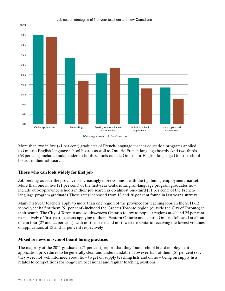

#### Job search strategies of first-year teachers and new Canadians

More than two in five (41 per cent) graduates of French-language teacher education programs applied to Ontario English-language school boards as well as Ontario French-language boards. And two-thirds (68 per cent) included independent schools, schools outside Ontario or English-language Ontario school boards in their job search.

### **Those who can look widely for first job**

Job-seeking outside the province is increasingly more common with the tightening employment market. More than one in five (21 per cent) of the first-year Ontario English-language program graduates now include out-of-province schools in their job search as do almost one-third (31 per cent) of the Frenchlanguage program graduates.These rates increased from 18 and 20 per cent found in last year's surveys.

Many first-year teachers apply to more than one region of the province for teaching jobs. In the 2011-12 school year half of them (51 per cent) included the Greater Toronto region (outside the City of Toronto) in their search.The City of Toronto and southwestern Ontario follow as popular regions at 40 and 25 per cent respectively of first-year teachers applying to them. Eastern Ontario and central Ontario followed at about one in four (27 and 22 per cent), with northeastern and northwestern Ontario receiving the lowest volumes of applications at 13 and 11 per cent respectively.

### **Mixed reviews on school board hiring practices**

The majority of the 2011 graduates (71 per cent) report that they found school board employment application procedures to be generally clear and understandable. However, half of them (51 per cent) say they were not well informed about how to get on supply teaching lists and on how being on supply lists relates to competitions for long-term occasional and regular teaching positions.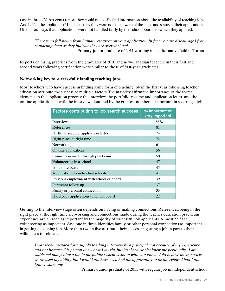One in three (31 per cent) report they could not easily find information about the availability of teaching jobs. And half of the applicants (51 per cent) say they were not kept aware of the stage and status of their applications. One in four says that applications were not handled fairly by the school boards to which they applied.

*There is no follow-up from human resources on your application. In fact, you are discouraged from contacting them as they indicate they are overwhelmed.* Primary-junior graduate of 2011 working in an alternative field in Toronto

Reports on hiring practices from the graduates of 2010 and new-Canadian teachers in their first and second years following certification were similar to those of first-year graduates.

### **Networking key to successfully landing teaching jobs**

Most teachers who have success in finding some form of teaching job in the first year following teacher education attribute the success to multiple factors.The majority affirm the importance of the formal elements in the application process: the interview, the portfolio, resume and application letter, and the on-line application — with the interview identified by the greatest number as important in securing a job.

| Factors contributing to job search success | % important or<br>very important |
|--------------------------------------------|----------------------------------|
| Interview                                  | 88%                              |
| References                                 | 81                               |
| Portfolio, resume, application letter      | 74                               |
| Right place at right time                  | 72                               |
| Networking                                 | 61                               |
| On-line applications                       | 56                               |
| Connection made through practicum          | 50                               |
| Volunteering in a school                   | 47                               |
| Able to relocate                           | 45                               |
| Applications to individual schools         | 41                               |
| Previous employment with school or board   | 39                               |
| Persistent follow up                       | 37                               |
| Family or personal connection              | 33                               |
| Hard copy applications to school board     | 22                               |

Getting to the interview stage often depends on having or making connections. References, being in the right place at the right time, networking and connections made during the teacher education practicum experience are all seen as important by the majority of successful job applicants. Almost half see volunteering as important. And one in three identifies family or other personal connections as important in getting a teaching job. More than two in five attribute their success in getting a job in part to their willingness to relocate.

*I was recommended for a supply teaching interview by a principal, not because of my experience and not because this person knew how I taught, but just because she knew me personally. I am saddened that getting a job in the public system is about who you know. I do believe the interview showcased my ability, but I would not have even had the opportunity to be interviewed had I not known someone.*

Primary-Junior graduate of 2011 with regular job in independent school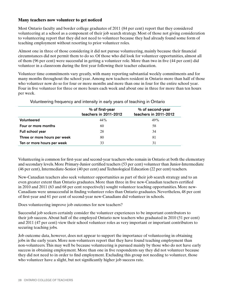### **Many teachers now volunteer to get noticed**

Most Ontario faculty and border college graduates of 2011 (84 per cent) report that they considered volunteering at a school as a component of their job search strategy. Most of those not giving consideration to volunteering report that they did not need to volunteer because they had already found some form of teaching employment without resorting to prior volunteer roles.

Almost one in three of those considering it did not pursue volunteering, mainly because their financial circumstances did not permit them to do so. Of those who did look for volunteer opportunities, almost all of them (96 per cent) were successful in getting a volunteer role. More than two in five (44 per cent) did volunteer in a classroom during the first year following their teacher education.

Volunteer time commitments vary greatly, with many reporting substantial weekly commitments and for many months throughout the school year.Among new teachers resident in Ontario more than half of those who volunteer now do so for four or more months and more than one in four for the entire school year. Four in five volunteer for three or more hours each week and about one in three for more than ten hours per week.

|                              | % of first-year<br>teachers in 2011-2012 | % of second-year<br>teachers in 2011-2012 |
|------------------------------|------------------------------------------|-------------------------------------------|
| Volunteered                  | 44%                                      | 49%                                       |
| Four or more months          | 60                                       | 58                                        |
| Full school year             | 28                                       | 34                                        |
| Three or more hours per week | 80                                       | 81                                        |
| Ten or more hours per week   | 33                                       | 31                                        |

Volunteering frequency and intensity in early years of teaching in Ontario

Volunteering is common for first-year and second-year teachers who remain in Ontario at both the elementary and secondary levels. More Primary-Junior certified teachers (53 per cent) volunteer than Junior-Intermediate (46 per cent), Intermediate-Senior (40 per cent) and Technological Education (22 per cent) teachers.

New-Canadian teachers also seek volunteer opportunities as part of their job search strategy and to an even greater extent than Ontario graduates. More than three in five new-Canadian teachers certified in 2010 and 2011 (63 and 68 per cent respectively) sought volunteer teaching opportunities. More new-Canadians were unsuccessful in finding volunteer roles than Ontario graduates. Nevertheless, 48 per cent of first-year and 61 per cent of second-year new-Canadians did volunteer in schools.

Does volunteering improve job outcomes for new teachers?

Successful job seekers certainly consider the volunteer experiences to be important contributors to their job success. About half of the employed Ontario new teachers who graduated in 2010 (51 per cent) and 2011 (47 per cent) view their school volunteer roles as very important or important contributors to securing teaching jobs.

Job outcome data, however, does not appear to support the importance of volunteering in obtaining jobs in the early years. More non-volunteers report that they have found teaching employment than non-volunteers.This may well be because volunteering is pursued mainly by those who do not have early success in obtaining employment. More than one in five respondents say they did not volunteer because they did not need to in order to find employment. Excluding this group not needing to volunteer, those who volunteer have a slight, but not significantly higher job success rate.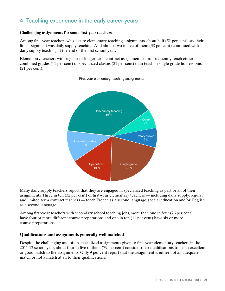## 4. Teaching experience in the early career years

#### **Challenging assignments for some first-year teachers**

Among first-year teachers who secure elementary teaching assignments, about half (51 per cent) say their first assignment was daily supply teaching. And almost two in five of them (38 per cent) continued with daily supply teaching at the end of the first school year.

Elementary teachers with regular or longer term contract assignments more frequently teach either combined grades (11 per cent) or specialized classes (21 per cent) than teach in single grade homerooms (21 per cent).



First year elementary teaching assignments

Many daily supply teachers report that they are engaged in specialized teaching as part or all of their assignments.Three in ten (32 per cent) of first-year elementary teachers — including daily supply, regular and limited term contract teachers — teach French as a second language, special education and/or English as a second language.

Among first-year teachers with secondary school teaching jobs, more than one in four (26 per cent) have four or more different course preparations and one in ten (11 per cent) have six or more course preparations.

### **Qualifications and assignments generally well matched**

Despite the challenging and often specialized assignments given to first-year elementary teachers in the 2011-12 school year, about four in five of them (79 per cent) consider their qualifications to be an excellent or good match to the assignments. Only 9 per cent report that the assignment is either not an adequate match or not a match at all to their qualifications.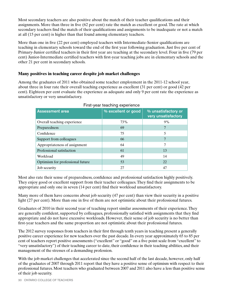Most secondary teachers are also positive about the match of their teacher qualifications and their assignments. More than three in five (62 per cent) rate the match as excellent or good.The rate at which secondary teachers find the match of their qualifications and assignments to be inadequate or not a match at all (15 per cent) is higher than that found among elementary teachers.

More than one in five (22 per cent) employed teachers with Intermediate-Senior qualifications are teaching in elementary schools toward the end of the first year following graduation. Just five per cent of Primary-Junior certified teachers in their first year are teaching at the secondary level. Four in five (79 per cent) Junior-Intermediate certified teachers with first-year teaching jobs are in elementary schools and the other 21 per cent in secondary schools.

### **Many positives in teaching career despite job market challenges**

Among the graduates of 2011 who obtained some teacher employment in the 2011-12 school year, about three in four rate their overall teaching experience as excellent (31 per cent) or good (42 per cent). Eighteen per cent evaluate the experience as adequate and only 9 per cent rate the experience as unsatisfactory or very unsatisfactory.

| <b>Assessment area</b>           | % excellent or good | % unsatisfactory or<br>very unsatisfactory |
|----------------------------------|---------------------|--------------------------------------------|
| Overall teaching experience      | 73%                 | 9%                                         |
| Preparedness                     | 69                  |                                            |
| Confidence                       | 75                  | 5                                          |
| Support from colleagues          | 66                  |                                            |
| Appropriateness of assignment    | 64                  | 7                                          |
| Professional satisfaction        | 61                  | 13                                         |
| Workload                         | 49                  | 14                                         |
| Optimism for professional future | 53                  | 22.                                        |
| Job security                     | 27                  | 47                                         |

|  | First-year teaching experience |
|--|--------------------------------|
|  |                                |

Most also rate their sense of preparedness, confidence and professional satisfaction highly positively. They enjoy good or excellent support from their teacher colleagues.They find their assignments to be appropriate and only one in seven (14 per cent) find their workload unsatisfactory.

Many more of them have concerns about job security (47 per cent) than view their security in a positive light (27 per cent). More than one in five of them are not optimistic about their professional futures.

Graduates of 2010 in their second year of teaching report similar assessments of their experience.They are generally confident, supported by colleagues, professionally satisfied with assignments that they find appropriate and do not have excessive workloads. However, their sense of job security is no better than first-year teachers and the same proportion are not optimistic about their professional futures.

The 2012 survey responses from teachers in their first through tenth years in teaching present a generally positive career experience for new teachers over the past decade.In every year approximately 65 to 85 per cent of teachers report positive assessments ("excellent" or "good" on a five point scale from "excellent" to "very unsatisfactory") of their teaching career to date, their confidence in their teaching abilities, and their management of the stresses of a demanding profession.

With the job market challenges that accelerated since the second half of the last decade, however, only half of the graduates of 2007 through 2011 report that they have a positive sense of optimism with respect to their professional futures. Most teachers who graduated between 2007 and 2011 also have a less than positive sense of their job security.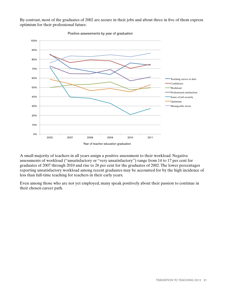By contrast, most of the graduates of 2002 are secure in their jobs and about three in five of them express optimism for their professional future.



Positive assessments by year of graduation

A small majority of teachers in all years assign a positive assessment to their workload. Negative assessments of workload ("unsatisfactory or "very unsatisfactory") range from 14 to 17 per cent for graduates of 2007 through 2010 and rise to 26 per cent for the graduates of 2002.The lower percentages reporting unsatisfactory workload among recent graduates may be accounted for by the high incidence of less than full-time teaching for teachers in their early years.

Even among those who are not yet employed, many speak positively about their passion to continue in their chosen career path.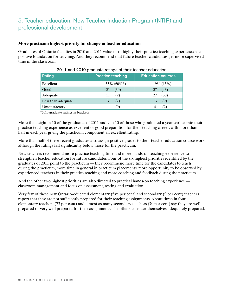# 5. Teacher education, New Teacher Induction Program (NTIP) and professional development

### **More practicum highest priority for change in teacher education**

Graduates of Ontario faculties in 2010 and 2011 value most highly their practice teaching experience as a positive foundation for teaching. And they recommend that future teacher candidates get more supervised time in the classroom.

| Rating             | <b>Practice teaching</b> | <b>Education courses</b> |
|--------------------|--------------------------|--------------------------|
| Excellent          | 55% (60%*)               | 19% (15%)                |
| Good               | (30)<br>31               | (43)<br>37               |
| Adequate           | (9)                      | (30)<br>27               |
| Less than adequate | (2)<br>3                 | (9)<br>13                |
| Unsatisfactory     | (0)                      |                          |

| 2011 and 2010 graduate ratings of their teacher education |  |  |  |  |  |
|-----------------------------------------------------------|--|--|--|--|--|
|-----------------------------------------------------------|--|--|--|--|--|

 \*2010 graduate ratings in brackets

More than eight in 10 of the graduates of 2011 and 9 in 10 of those who graduated a year earlier rate their practice teaching experience as excellent or good preparation for their teaching career, with more than half in each year giving the practicum component an excellent rating.

More than half of these recent graduates also assign positive grades to their teacher education course work although the ratings fall significantly below those for the practicum.

New teachers recommend more practice teaching time and more hands-on teaching experience to strengthen teacher education for future candidates. Four of the six highest priorities identified by the graduates of 2011 point to the practicum — they recommend more time for the candidates to teach during the practicum, more time in general in practicum placements, more opportunity to be observed by experienced teachers in their practice teaching and more coaching and feedback during the practicum.

And the other two highest priorities are also directed to practical hands-on teaching experience classroom management and focus on assessment, testing and evaluation.

Very few of these new Ontario-educated elementary (five per cent) and secondary (9 per cent) teachers report that they are not sufficiently prepared for their teaching assignments. About three in four elementary teachers (73 per cent) and almost as many secondary teachers (70 per cent) say they are well prepared or very well prepared for their assignments.The others consider themselves adequately prepared.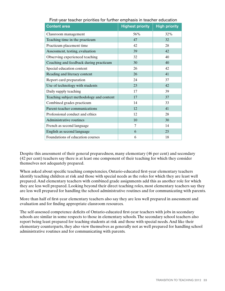| <b>Content area</b>                      | <b>Highest priority</b> | <b>High priority</b> |
|------------------------------------------|-------------------------|----------------------|
| Classroom management                     | 56%                     | 32%                  |
| Teaching time in the practicum           | 47                      | 32                   |
| Practicum placement time                 | 42                      | 28                   |
| Assessment, testing, evaluation          | 39                      | 42                   |
| Observing experienced teaching           | 32                      | 40                   |
| Coaching and feedback during practicum   | 30                      | 40                   |
| Special education content                | 26                      | 42                   |
| Reading and literacy content             | 26                      | 41                   |
| Report card preparation                  | 24                      | 37                   |
| Use of technology with students          | 23                      | 42                   |
| Daily supply teaching                    | 17                      | 39                   |
| Teaching subject methodology and content | 17                      | 37                   |
| Combined grades practicum                | 14                      | 33                   |
| Parent-teacher communications            | 12                      | 41                   |
| Professional conduct and ethics          | 12                      | 28                   |
| Administrative routines                  | 10                      | 30                   |
| French as second language                | 7                       | 14                   |
| English as second language               | 6                       | 25                   |
| Foundations of education courses         | 6                       | 18                   |

First-year teacher priorities for further emphasis in teacher education

Despite this assessment of their general preparedness, many elementary (46 per cent) and secondary (42 per cent) teachers say there is at least one component of their teaching for which they consider themselves not adequately prepared.

When asked about specific teaching competencies, Ontario-educated first-year elementary teachers identify teaching children at risk and those with special needs as the roles for which they are least well prepared. And elementary teachers with combined grade assignments add this as another role for which they are less well prepared. Looking beyond their direct teaching roles, most elementary teachers say they are less well prepared for handling the school administrative routines and for communicating with parents.

More than half of first-year elementary teachers also say they are less well prepared in assessment and evaluation and for finding appropriate classroom resources.

The self-assessed competence deficits of Ontario-educated first-year teachers with jobs in secondary schools are similar in some respects to those in elementary schools.The secondary school teachers also report being least prepared for teaching students at risk and those with special needs. And like their elementary counterparts, they also view themselves as generally not as well prepared for handling school administrative routines and for communicating with parents.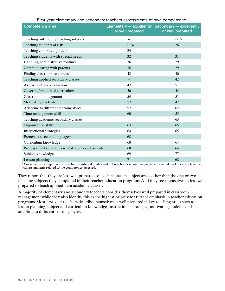| <b>Competence area</b>                            | Elementary $-$ excellently<br>or well prepared | Secondary - excellently<br>or well prepared |
|---------------------------------------------------|------------------------------------------------|---------------------------------------------|
| Teaching outside my teaching subjects             |                                                | 22%                                         |
| Teaching students at risk                         | 22%                                            | 26                                          |
| Teaching combined grades*                         | 24                                             |                                             |
| Teaching students with special needs              | 32                                             | 31                                          |
| Handling administrative routines                  | 36                                             | 29                                          |
| Communicating with parents                        | 38                                             | 29                                          |
| Finding classroom resources                       | 42                                             | 40                                          |
| Teaching applied secondary classes                |                                                | 42                                          |
| Assessment and evaluation                         | 42                                             | 51                                          |
| Covering breadth of curriculum                    | 50                                             | 44                                          |
| Classroom management                              | 54                                             | 51                                          |
| Motivating students                               | 57                                             | 47                                          |
| Adapting to different learning styles             | 57                                             | 62                                          |
| Time management skills                            | 60                                             | 55                                          |
| Teaching academic secondary classes               |                                                | 63                                          |
| Organization skills                               | 63                                             | 65                                          |
| <b>Instructional strategies</b>                   | 64                                             | 65                                          |
| French as a second language*                      | 68                                             |                                             |
| Curriculum knowledge                              | 68                                             | 64                                          |
| Professional boundaries with students and parents | 68                                             | 64                                          |
| Subject knowledge                                 | 69                                             | 77                                          |
| Lesson planning                                   | 71                                             | 68                                          |

#### First-year elementary and secondary teachers assessments of own competence

\*Assessment of competence in teaching combined grades and in French as a second language is restricted to elementary teachers with assignments related to the competence assessed.

They report that they are less well prepared to teach classes in subject areas other than the one or two teaching subjects they completed in their teacher education programs. And they see themselves as less well prepared to teach applied than academic classes.

A majority of elementary and secondary teachers consider themselves well prepared in classroom management while they also identify this as the highest priority for further emphasis in teacher education programs. Most first-year teachers describe themselves as well prepared in key teaching areas such as lesson planning, subject and curriculum knowledge, instructional strategies, motivating students and adapting to different learning styles.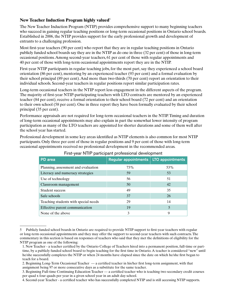## **New Teacher Induction Program highly valued**<sup>5</sup>

The New Teacher Induction Program (NTIP) provides comprehensive support to many beginning teachers who succeed in gaining regular teaching positions or long-term occasional positions in Ontario school boards. Established in 2006, the NTIP provides support for the early professional growth and development of entrants to a challenging profession.

Most first-year teachers (90 per cent) who report that they are in regular teaching positions in Ontario publicly funded school boards say they are in the NTIP as do one in three (32 per cent) of those in long-term occasional positions.Among second-year teachers, 61 per cent of those with regular appointments and 40 per cent of those with long-term occasional appointments report they are in the NTIP.

First-year NTIP participants in regular teaching jobs, for the most part, say they experienced a school board orientation (86 per cent), mentoring by an experienced teacher (93 per cent) and a formal evaluation by their school principal (89 per cent).And more than two-thirds (70 per cent) report an orientation to their individual schools. Second-year teachers in regular positions report similar participation rates.

Long-term occasional teachers in the NTIP report less engagement in the different aspects of the program. The majority of first-year NTIP-participating teachers with LTO contracts are mentored by an experienced teacher (84 per cent), receive a formal orientation to their school board (72 per cent) and an orientation to their own school (58 per cent). One in three report they have been formally evaluated by their school principal (35 per cent).

Performance appraisals are not required for long-term occasional teachers in the NTIP.Timing and duration of long-term occasional appointments may also explain in part the somewhat lower intensity of program participation as many of the LTO teachers are appointed for shorter durations and some of them well after the school year has started.

Professional development in some key areas identified as NTIP elements is also common for most NTIP participants. Only three per cent of those in regular positions and 9 per cent of those with long-term occasional appointments received no professional development in the recommended areas.

| PD area                              | Regular appointments   LTO appointments |     |
|--------------------------------------|-----------------------------------------|-----|
| Planning, assessment and evaluation  | 73%                                     | 53% |
| Literacy and numeracy strategies     | 59                                      | 53  |
| Use of technology                    | 56                                      | 51  |
| Classroom management                 | 50                                      | 42  |
| Student success                      | 49                                      | 35  |
| Safe schools                         | 37                                      | 26  |
| Teaching students with special needs | 29                                      | 14  |
| Effective parent communication       | 19                                      | 5   |
| None of the above                    | 3                                       | 9   |

## First-year NTIP participant professional development

<sup>5</sup> Publicly funded school boards in Ontario are required to provide NTIP support to first-year teachers with regular or long-term occasional appointments and they may offer the support to second-year teachers with such contracts.The commentary in this section is based on responses of teachers who said that they met the definitions of eligibility for the NTIP program as one of the following:

 <sup>1.</sup> New Teacher - a teacher certified by the Ontario College of Teachers hired into a permanent position, full-time or part- time, by a publicly funded school board to begin teaching for the first time in Ontario. A teacher is considered "new" until he/she successfully completes the NTIP or when 24 months have elapsed since the date on which he/she first began to teach for a board.

 <sup>2.</sup> Beginning Long-Term Occasional Teacher — a certified teacher in his/her first long-term assignment, with that assignment being 97 or more consecutive days as a substitute for the same teacher.

 <sup>3.</sup> Beginning Full-time Continuing Education Teacher — a certified teacher who is teaching two secondary credit courses per quad x four quads per year in a given school year in an adult day school.

 <sup>4.</sup> Second-year Teacher - a certified teacher who has successfully completed NTIP and is still accessing NTIP supports.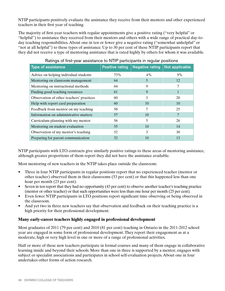NTIP participants positively evaluate the assistance they receive from their mentors and other experienced teachers in their first year of teaching.

The majority of first-year teachers with regular appointments give a positive rating ("very helpful" or "helpful") to assistance they received from their mentors and others with a wide range of practical day-today teaching responsibilities. About one in ten or fewer give a negative rating ("somewhat unhelpful" or "not at all helpful") to these types of assistance. Up to 30 per cent of these NTIP participants report that they did not receive a type of mentoring assistance that is rated highly by others for whom it was available.

| <b>Type of assistance</b>                | <b>Positive rating</b> | <b>Negative rating</b> | Not applicable |
|------------------------------------------|------------------------|------------------------|----------------|
| Advice on helping individual students    | 73%                    | 4%                     | 9%             |
| Mentoring on classroom management        | 64                     | 5                      | 12             |
| Mentoring on instructional methods       | 64                     | 9                      |                |
| Finding good teaching resources          | 61                     | 9                      |                |
| Observation of other teachers' practices | 60                     | 3                      | 20             |
| Help with report card preparation        | 60                     | 10                     | 10             |
| Feedback from mentor on my teaching      | 58                     |                        | 25             |
| Information on administrative matters    | 57                     | 10                     |                |
| Curriculum planning with my mentor       | 56                     | 5                      | 26             |
| Mentoring on student evaluation          | 55                     | 10                     | 14             |
| Observation of my mentor's teaching      | 52                     | 3                      | 30             |
| Preparing for parent communication       | 52                     | 10                     | 13             |

## Ratings of first-year assistance to NTIP participants in regular positions

NTIP participants with LTO contracts give similarly positive ratings to these areas of mentoring assistance, although greater proportions of them report they did not have the assistance available.

Most mentoring of new teachers in the NTIP takes place outside the classroom:

- Three in four NTIP participants in regular positions report that no experienced teacher (mentor or other teacher) observed them in their classrooms (53 per cent) or that this happened less than one hour per month (23 per cent).
- Seven in ten report that they had no opportunity (43 per cent) to observe another teacher's teaching practice (mentor or other teacher) or that such opportunities were less than one hour per month (25 per cent).
- Even fewer NTIP participants in LTO positions report significant time observing or being observed in the classroom.
- And yet two in three new teachers say that observation and feedback on their teaching practice is a high priority for their professional development.

## **Many early-career teachers highly engaged in professional development**

Most graduates of 2011 (79 per cent) and 2010 (81 per cent) teaching in Ontario in the 2011-2012 school year are engaged in some form of professional development.They report their engagement as at a moderate, high or very high level in one or more of a range of professional activities.

Half or more of these new teachers participate in formal courses and many of them engage in collaborative learning inside and beyond their schools. More than one in three is supported by a mentor, engages with subject or specialist associations and participates in school self-evaluation projects. About one in four undertakes other forms of action research.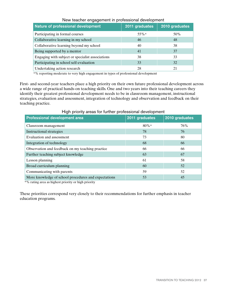| Nature of professional development               | 2011 graduates | 2010 graduates |
|--------------------------------------------------|----------------|----------------|
| Participating in formal courses                  | $55\%*$        | 50%            |
| Collaborative learning in my school              | 46             | 48             |
| Collaborative learning beyond my school          | 40             | 38             |
| Being supported by a mentor                      | 41             | 37             |
| Engaging with subject or specialist associations | 38             | 33             |
| Participating in school self-evaluation          | 33             | 32             |
| Undertaking action research                      | 28             | 21             |

\*% reporting moderate to very high engagement in types of professional development

First- and second-year teachers place a high priority on their own future professional development across a wide range of practical hands-on teaching skills. One and two years into their teaching careers they identify their greatest professional development needs to be in classroom management, instructional strategies, evaluation and assessment, integration of technology and observation and feedback on their teaching practice.

| <b>Professional development area</b>                 | 2011 graduates | 2010 graduates |
|------------------------------------------------------|----------------|----------------|
| Classroom management                                 | $80\%*$        | 76%            |
| <b>Instructional strategies</b>                      | 78             | 76             |
| Evaluation and assessment                            | 73             | 80             |
| Integration of technology                            | 68             | 66             |
| Observation and feedback on my teaching practice     | 66             | 66             |
| Further teaching subject knowledge                   | 63             | 67             |
| Lesson planning                                      | 61             | 58             |
| Broad curriculum planning                            | 60             | 52             |
| Communicating with parents                           | 59             | 52             |
| More knowledge of school procedures and expectations | 53             | 45             |

High priority areas for further professional development

\*% rating area as highest priority or high priority

These priorities correspond very closely to their recommendations for further emphasis in teacher education programs.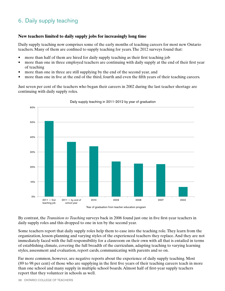# 6. Daily supply teaching

## **New teachers limited to daily supply jobs for increasingly long time**

Daily supply teaching now comprises some of the early months of teaching careers for most new Ontario teachers. Many of them are confined to supply teaching for years.The 2012 surveys found that:

- more than half of them are hired for daily supply teaching as their first teaching job
- more than one in three employed teachers are continuing with daily supply at the end of their first year of teaching
- more than one in three are still supplying by the end of the second year, and
- more than one in five at the end of the third, fourth and even the fifth years of their teaching careers.

Just seven per cent of the teachers who began their careers in 2002 during the last teacher shortage are continuing with daily supply roles.



Daily supply teaching in 2011-2012 by year of graduation

By contrast, the *Transition to Teaching* surveys back in 2006 found just one in five first-year teachers in daily supply roles and this dropped to one in ten by the second year.

Some teachers report that daily supply roles help them to ease into the teaching role.They learn from the organization, lesson-planning and varying styles of the experienced teachers they replace. And they are not immediately faced with the full responsibility for a classroom on their own with all that is entailed in terms of establishing climate, covering the full breadth of the curriculum, adapting teaching to varying learning styles, assessment and evaluation, report cards, communicating with parents and so on.

Far more common, however, are negative reports about the experience of daily supply teaching. Most (89 to 98 per cent) of those who are supplying in the first five years of their teaching careers teach in more than one school and many supply in multiple school boards. Almost half of first-year supply teachers report that they volunteer in schools as well.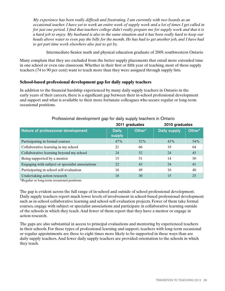*My experience has been really difficult and frustrating. I am currently with two boards as an occasional teacher. I have yet to work an entire week of supply work and a lot of times I get called in for just one period. I find that teachers college didn't really prepare me for supply work and that it is a hard job to enjoy. My husband is also in the same situation and it has been really hard to keep our heads above water to even pay the bills for the month. He has had to get another job, and I have had to get part time work elsewhere also just to get by.*

Intermediate-Senior math and physical education graduate of 2009, southwestern Ontario

Many complain that they are excluded from the better supply placements that entail more extended time in one school or even one classroom.Whether in their first or fifth year of teaching, most of these supply teachers (74 to 90 per cent) want to teach more than they were assigned through supply lists.

### **School-based professional development gap for daily supply teachers**

In addition to the financial hardship experienced by many daily supply teachers in Ontario in the early years of their careers, there is a significant gap between their in-school professional development and support and what is available to their more fortunate colleagues who secure regular or long-term occasional positions.

|                                                  | 2011 graduates         |        | 2010 graduates      |        |
|--------------------------------------------------|------------------------|--------|---------------------|--------|
| Nature of professional development               | <b>Daily</b><br>supply | Other* | <b>Daily supply</b> | Other* |
| Participating in formal courses                  | 47%                    | 52%    | 43%                 | 54%    |
| Collaborative learning in my school              | 21                     | 66     | 19                  | 64     |
| Collaborative learning beyond my school          | 24                     | 52     | 24                  | 45     |
| Being supported by a mentor                      | 15                     | 51     | 14                  | 50     |
| Engaging with subject or specialist associations | 22                     | 43     | 24                  | 41     |
| Participating in school self-evaluation          | 16                     | 49     | 16                  | 40     |
| Undertaking action research                      | 18                     | 30     | 15                  | 25     |

### Professional development gap for daily supply teachers in Ontario

\*Regular or long-term occasional positions

The gap is evident across the full range of in-school and outside of school professional development. Daily supply teachers report much lower levels of involvement in school-based professional development such as in-school collaborative learning and school self-evaluation projects. Fewer of them take formal courses, engage with subject or specialist associations and participate in collaborative learning outside of the schools in which they teach. And fewer of them report that they have a mentor or engage in action research.

The gaps are also substantial in access to principal evaluations and mentoring by experienced teachers in their schools. For these types of professional learning and support, teachers with long-term occasional or regular appointments are three to eight times more likely to be supported in these ways than are daily supply teachers. And fewer daily supply teachers are provided orientation to the schools in which they teach.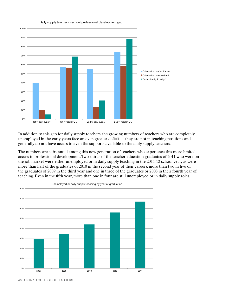

Daily supply teacher in-school professional development gap

In addition to this gap for daily supply teachers, the growing numbers of teachers who are completely unemployed in the early years face an even greater deficit — they are not in teaching positions and generally do not have access to even the supports available to the daily supply teachers.

The numbers are substantial among this new generation of teachers who experience this more limited access to professional development.Two-thirds of the teacher education graduates of 2011 who were on the job market were either unemployed or in daily supply teaching in the 2011-12 school year, as were more than half of the graduates of 2010 in the second year of their careers, more than two in five of the graduates of 2009 in the third year and one in three of the graduates or 2008 in their fourth year of teaching. Even in the fifth year, more than one in four are still unemployed or in daily supply roles.



Unemployed or daily supply teaching by year of graduation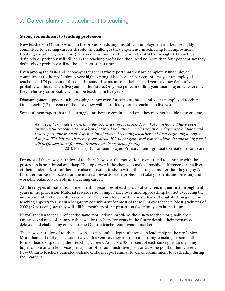## *7.* Career plans and attachment to teaching

#### **Strong commitment to teaching profession**

New teachers in Ontario who join the profession during this difficult employment market are highly committed to teaching careers despite the challenges they experience in achieving full employment. Looking ahead five years, most (87 per cent or more) of the graduates of 2007 through 2011 say they definitely or probably will still be in the teaching profession then. And no more than four per cent say they definitely or probably will not be teachers at that time.

Even among the first- and second-year teachers who report that they are completely unemployed, commitment to the profession is very high. Among this subset, 88 per cent of first-year unemployed teachers and 74 per cent of those in the same circumstance in their second year say they definitely or probably will be teachers five years in the future. Only one per cent of first-year unemployed teachers say they definitely or probably will not be teaching in five years.

Discouragement appears to be creeping in, however, for some of the second-year unemployed teachers. One in eight (12 per cent) of them say they will not or likely not be teaching in five years.

Some of them report that it is a struggle for them to continue and one they may not be able to overcome.

*As a recent graduate I worked in the UK as a supply teacher. Now that I am home, I have been unsuccessful searching for work in Ontario. I volunteer in a classroom one day a week, I tutor, and I work part-time in retail. I spent a lot of money becoming a teacher and I am beginning to regret doing so. The job search seems pretty bleak. If I do not gain employment within the upcoming year I will begin searching for employment outside my field of study.*

2010 Primary-Junior unemployed Primary-Junior graduate, Greater Toronto area

For most of this new generation of teachers, however, the motivation to enter and to continue with the profession is both broad and deep.The top driver is the chance to make a positive difference for the lives of their students. Most of them are also motivated to share with others subject matter that they enjoy. A third tier purpose is focused on the material rewards of the profession (salary, benefits and pension) and work-life balance available in a teaching career.

All three types of motivation are evident in responses of each group of teachers in their first through tenth years in the profession. Material rewards rise in importance over time, approaching but not exceeding the importance of making a difference and sharing knowledge with their students.The satisfaction gained in teaching appears to sustain a long-term commitment for most of these Ontario teachers. Most graduates of 2002 (87 per cent) say they will still be members of the profession five more years in the future.

New-Canadian teachers reflect the same motivational profile as these new teachers originally from Ontario. And most of them say they will be teachers five years in the future despite their even more delayed and challenging entry into the Ontario teacher employment market.

This new generation of teachers also has considerable depth of interest in leadership in the profession. More than half of the teachers surveyed this year say they aspire to mentoring, coaching or some other form of leadership during their teaching careers. And 20 to 28 per cent of each survey group says they hope to take on a role of vice-principal or other administrative position at some point in their career. New Ontario teachers educated outside Ontario report similar levels of commitment to leadership during their careers.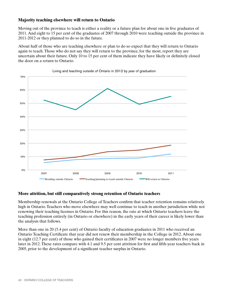### **Majority teaching elsewhere will return to Ontario**

Moving out of the province to teach is either a reality or a future plan for about one in five graduates of 2011. And eight to 15 per cent of the graduates of 2007 through 2010 were teaching outside the province in 2011-2012 or they planned to do so in the future.

About half of those who are teaching elsewhere or plan to do so expect that they will return to Ontario again to teach.Those who do not say they will return to the province, for the most, report they are uncertain about their future. Only 10 to 15 per cent of them indicate they have likely or definitely closed the door on a return to Ontario.



Living and teaching outside of Ontario in 2012 by year of graduation

#### **More attrition, but still comparatively strong retention of Ontario teachers**

Membership renewals at the Ontario College of Teachers confirm that teacher retention remains relatively high in Ontario. Teachers who move elsewhere may well continue to teach in another jurisdiction while not renewing their teaching licenses in Ontario. For this reason, the rate at which Ontario teachers leave the teaching profession entirely (in Ontario or elsewhere) in the early years of their career is likely lower than the analysis that follows.

More than one in 20 (5.4 per cent) of Ontario faculty of education graduates in 2011 who received an Ontario Teaching Certificate that year did not renew their membership in the College in 2012. About one in eight (12.7 per cent) of those who gained their certificates in 2007 were no longer members five years later in 2012.These rates compare with 4.1 and 9.5 per cent attrition for first and fifth-year teachers back in 2005, prior to the development of a significant teacher surplus in Ontario.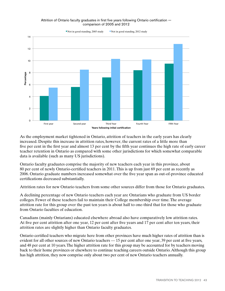



As the employment market tightened in Ontario, attrition of teachers in the early years has clearly increased. Despite this increase in attrition rates, however, the current rates of a little more than five per cent in the first year and almost 13 per cent by the fifth year continues the high rate of early career teacher retention in Ontario as compared with some other jurisdictions for which somewhat comparable data is available (such as many US jurisdictions).

Ontario faculty graduates comprise the majority of new teachers each year in this province, about 80 per cent of newly Ontario-certified teachers in 2011.This is up from just 69 per cent as recently as 2006. Ontario graduate numbers increased somewhat over the five year span as out-of-province educated certifications decreased substantially.

Attrition rates for new Ontario teachers from some other sources differ from those for Ontario graduates.

A declining percentage of new Ontario teachers each year are Ontarians who graduate from US border colleges. Fewer of these teachers fail to maintain their College membership over time.The average attrition rate for this group over the past ten years is about half to one-third that for those who graduate from Ontario faculties of education.

Canadians (mainly Ontarians) educated elsewhere abroad also have comparatively low attrition rates. At five per cent attrition after one year, 12 per cent after five years and 17 per cent after ten years, their attrition rates are slightly higher than Ontario faculty graduates.

Ontario certified teachers who migrate here from other provinces have much higher rates of attrition than is evident for all other sources of new Ontario teachers — 15 per cent after one year, 39 per cent at five years, and 48 per cent at 10 years.The higher attrition rate for this group may be accounted for by teachers moving back to their home provinces or elsewhere to continue teaching careers outside Ontario.Although this group has high attrition, they now comprise only about two per cent of new Ontario teachers annually.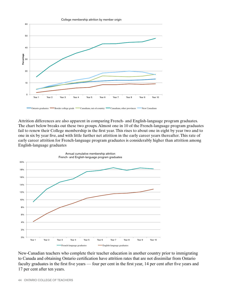

Attrition differences are also apparent in comparing French- and English-language program graduates. The chart below breaks out these two groups. Almost one in 10 of the French-language program graduates fail to renew their College membership in the first year.This rises to about one in eight by year two and to one in six by year five, and with little further net attrition in the early career years thereafter.This rate of early career attrition for French-language program graduates is considerably higher than attrition among English-language graduates



New-Canadian teachers who complete their teacher education in another country prior to immigrating to Canada and obtaining Ontario certification have attrition rates that are not dissimilar from Ontario faculty graduates in the first five years — four per cent in the first year, 14 per cent after five years and 17 per cent after ten years.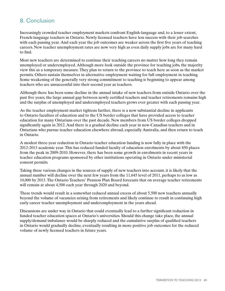## 8. Conclusion

Increasingly crowded teacher employment markets confront English-language and, to a lesser extent, French-language teachers in Ontario. Newly licensed teachers have less success with their job searches with each passing year. And each year the job outcomes are weaker across the first five years of teaching careers. New teacher unemployment rates are now very high as even daily supply jobs are for many hard to find.

Most new teachers are determined to continue their teaching careers no matter how long they remain unemployed or underemployed. Although more look outside the province for teaching jobs, the majority view this as a temporary measure.They plan to return to the province to teach here as soon as the market permits. Others sustain themselves in alternative employment waiting for full employment in teaching. Some weakening of the generally very strong commitment to teaching is beginning to appear among teachers who are unsuccessful into their second year as teachers.

Although there has been some decline in the annual intake of new teachers from outside Ontario over the past five years, the large annual gap between newly certified teachers and teacher retirements remains high and the surplus of unemployed and underemployed teachers grows ever greater with each passing year.

As the teacher employment market tightens further, there is a now substantial decline in applicants to Ontario faculties of education and to the US border colleges that have provided access to teacher education for many Ontarians over the past decade. New members from US border colleges dropped significantly again in 2012. And there is a gradual decline each year in new-Canadian teachers and in Ontarians who pursue teacher education elsewhere abroad, especially Australia, and then return to teach in Ontario.

A modest three-year reduction in Ontario teacher education funding is now fully in place with the 2012-2013 academic year.This has reduced funded faculty of education enrolments by about 850 places from the peak in 2009-2010. However, there has been some growth in enrolments in recent years in teacher education programs sponsored by other institutions operating in Ontario under ministerial consent permits.

Taking these various changes in the sources of supply of new teachers into account, it is likely that the annual number will decline over the next few years from the 11,645 level of 2011, perhaps to as low as 10,000 by 2013.The Ontario Teachers' Pension Plan Board forecasts that on average teacher retirements will remain at about 4,500 each year through 2020 and beyond.

These trends would result in a somewhat reduced annual excess of about 5,500 new teachers annually beyond the volume of vacancies arising from retirements and likely continue to result in continuing high early career teacher unemployment and underemployment in the years ahead.

Discussions are under way in Ontario that could eventually lead to a further significant reduction in funded teacher education spaces at Ontario's universities. Should this change take place, the annual supply/demand imbalance would be sharply reduced and the cumulative surplus of qualified teachers in Ontario would gradually decline, eventually resulting in more positive job outcomes for the reduced volume of newly licensed teachers in future years.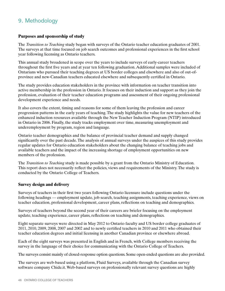# 9. Methodology

## **Purposes and sponsorship of study**

The *Transition to Teaching* study began with surveys of the Ontario teacher education graduates of 2001. The surveys at that time focused on job search outcomes and professional experiences in the first school year following licensing as Ontario teachers.

This annual study broadened in scope over the years to include surveys of early-career teachers throughout the first five years and at year ten following graduation. Additional samples were included of Ontarians who pursued their teaching degrees at US border colleges and elsewhere and also of out-ofprovince and new-Canadian teachers educated elsewhere and subsequently certified in Ontario.

The study provides education stakeholders in the province with information on teacher transition into active membership in the profession in Ontario. It focuses on their induction and support as they join the profession, evaluation of their teacher education programs and assessment of their ongoing professional development experience and needs.

It also covers the extent, timing and reasons for some of them leaving the profession and career progression patterns in the early years of teaching.The study highlights the value for new teachers of the enhanced induction resources available through the New Teacher Induction Program (NTIP) introduced in Ontario in 2006. Finally, the study tracks employment over time, measuring unemployment and underemployment by program, region and language.

Ontario teacher demographics and the balance of provincial teacher demand and supply changed significantly over the past decade.The analysis of annual surveys under the auspices of this study provides regular updates for Ontario education stakeholders about the changing balance of teaching jobs and available teachers and the impact of the increasing shortage of employment opportunities on new members of the profession.

The *Transition to Teaching* study is made possible by a grant from the Ontario Ministry of Education. This report does not necessarily reflect the policies, views and requirements of the Ministry.The study is conducted by the Ontario College of Teachers.

### **Survey design and delivery**

Surveys of teachers in their first two years following Ontario licensure include questions under the following headings — employment update, job search, teaching assignments, teaching experience, views on teacher education, professional development, career plans, reflections on teaching and demographics.

Surveys of teachers beyond the second year of their careers are briefer focusing on the employment update, teaching experience, career plans, reflections on teaching and demographics.

Eight separate surveys were directed in May 2012 to Ontario faculty and US border college graduates of 2011, 2010, 2009, 2008, 2007 and 2002 and to newly certified teachers in 2010 and 2011 who obtained their teacher education degrees and initial licensing in another Canadian province or elsewhere abroad.

Each of the eight surveys was presented in English and in French, with College members receiving the survey in the language of their choice for communicating with the Ontario College of Teachers.

The surveys consist mainly of closed-response option questions. Some open-ended questions are also provided.

The surveys are web-based using a platform, Fluid Surveys, available through the Canadian survey software company Chide.it. Web-based surveys on professionally relevant survey questions are highly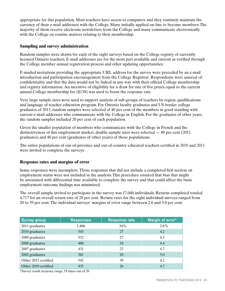appropriate for this population. Most teachers have access to computers and they routinely maintain the currency of their e-mail addresses with the College. Many initially applied on-line to become members.The majority of them receive electronic newsletters from the College and many communicate electronically with the College on routine matters relating to their membership.

### **Sampling and survey administration**

Random samples were drawn for each of the eight surveys based on the College registry of currently licensed Ontario teachers. E-mail addresses are for the most part available and current as verified through the College member annual registration process and other updating opportunities.

E-mailed invitations providing the appropriate URL address for the survey were preceded by an e-mail introduction and participation encouragement from the College Registrar. Respondents were assured of confidentiality and that the data would not be linked in any way with their official College membership and registry information. An incentive of eligibility for a draw for one of five prizes equal to the current annual College membership fee (\$138) was used to boost the response rate.

Very large sample sizes were used to support analysis of sub-groups of teachers by region, qualifications and language of teacher education program. For Ontario faculty graduates and US border college graduates of 2011, random samples were selected of 40 per cent of the members in good standing with current e-mail addresses who communicate with the College in English. For the graduates of other years, the random samples included 20 per cent of each population.

Given the smaller population of members who communicate with the College in French and the distinctiveness of this employment market, double sample sizes were selected — 80 per cent (2011 graduates) and 40 per cent (graduates of other years) of those populations.

The entire populations of out-of-province and out-of-country educated teachers certified in 2010 and 2011 were invited to complete the surveys.

### **Response rates and margins of error**

Some responses were incomplete.Those responses that did not include a completed first section on employment status were not included in the analysis.This procedure ensured that bias that might be associated with differential time available to complete the survey and that could affect the basic employment outcome findings was minimized.

The overall sample invited to participate in the survey was 17,040 individuals. Returns completed totaled 4,717 for an overall return rate of 28 per cent. Return rates for the eight individual surveys ranged from 20 to 39 per cent.The individual surveys' margins of error range between 2.6 and 5.0 per cent.

| <b>Survey group</b>  | <b>Responses</b> | <b>Response rate</b> | Margin of error* |
|----------------------|------------------|----------------------|------------------|
| 2011 graduates       | 1,406            | 34%                  | $2.6\%$          |
| 2010 graduates       | 545              | 27                   | 4.2              |
| 2009 graduates       | 532              | 27                   | 4.3              |
| 2008 graduates       | 488              | 24                   | 4.4              |
| 2007 graduates       | 431              | 23                   | 4.7              |
| 2002 graduates       | 381              | 20                   | 5.0              |
| Other 2011 certified | 542              | 39                   | 4.2              |
| Other 2010 certified | 435              | 26                   | 4.7              |

\*Survey result accuracy range, 19 times out of 20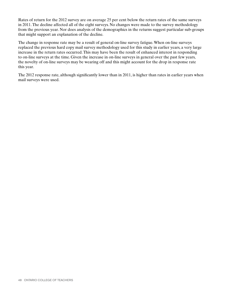Rates of return for the 2012 survey are on average 25 per cent below the return rates of the same surveys in 2011.The decline affected all of the eight surveys. No changes were made to the survey methodology from the previous year. Nor does analysis of the demographics in the returns suggest particular sub-groups that might support an explanation of the decline.

The change in response rate may be a result of general on-line survey fatigue.When on-line surveys replaced the previous hard copy mail survey methodology used for this study in earlier years, a very large increase in the return rates occurred.This may have been the result of enhanced interest in responding to on-line surveys at the time. Given the increase in on-line surveys in general over the past few years, the novelty of on-line surveys may be wearing off and this might account for the drop in response rate this year.

The 2012 response rate, although significantly lower than in 2011, is higher than rates in earlier years when mail surveys were used.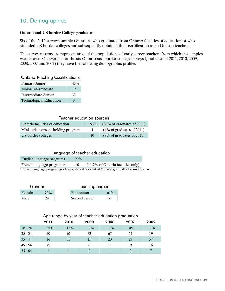# 10. Demographics

#### **Ontario and US border College graduates**

Six of the 2012 surveys sample Ontarians who graduated from Ontario faculties of education or who attended US border colleges and subsequently obtained their certification as an Ontario teacher.

The survey returns are representative of the populations of early career teachers from which the samples were drawn. On average for the six Ontario and border college surveys (graduates of 2011, 2010, 2009, 2008, 2007 and 2002) they have the following demographic profiles.

Ontario Teaching Qualifications

| Primary-Junior                 | 45% |
|--------------------------------|-----|
| Junior-Intermediate            | 19  |
| Intermediate-Senior            | 33  |
| <b>Technological Education</b> | 3   |

## Teacher education sources

| Ontario faculties of education       | 86% | $(88\% \text{ of graduates of } 2011)$ |
|--------------------------------------|-----|----------------------------------------|
| Ministerial consent-holding programs | 4   | $(4\% \text{ of graduates of } 2011)$  |
| US border colleges                   | 10  | $(8\% \text{ of graduates of } 2011)$  |

### Language of teacher education

| English-language programs | 90% |                                                                                           |  |
|---------------------------|-----|-------------------------------------------------------------------------------------------|--|
| French-language programs* | 10  | $(11.7\% \text{ of Ontario faculties only})$                                              |  |
|                           |     | *French-language program graduates are 7.8 per cent of Ontario graduates for survey years |  |

| Gender |     |               | Teaching career |  |  |
|--------|-----|---------------|-----------------|--|--|
| Female | 76% | First career  | 64%             |  |  |
| Male   | 24  | Second career | 36              |  |  |

### Age range by year of teacher education graduation

|           | 2011 | 2010 | 2009 | 2008  | 2007                        | 2002  |
|-----------|------|------|------|-------|-----------------------------|-------|
| $18 - 24$ | 25%  | 12%  | 2%   | $0\%$ | $0\%$                       | $0\%$ |
| $25 - 34$ | 50   | 61   | 72   | 67    | 64                          | 19    |
| $35 - 44$ | 16   | 18   | 15   | 20    | 23                          | 57    |
| $45 - 54$ |      |      | 8    | 11    | 9                           | 16    |
| $55 - 64$ |      |      |      |       | $\mathcal{D}_{\mathcal{A}}$ |       |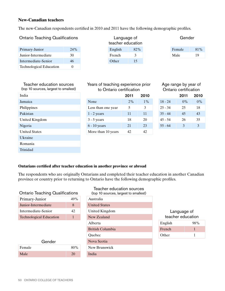### **New-Canadian teachers**

The new-Canadian respondents certified in 2010 and 2011 have the following demographic profiles.

Ontario Teaching Qualifications Language of

| Primary-Junior                 | 24 <sup>%</sup> |
|--------------------------------|-----------------|
| Junior-Intermediate            | 30              |
| Intermediate-Senior            | 46              |
| <b>Technological Education</b> |                 |

Trinidad

teacher education

| Gender |        |  |  |
|--------|--------|--|--|
| Female | $81\%$ |  |  |
| Male   | 19     |  |  |

|                    |       |       |                                                                | Age range by year of<br>Ontario certification |       |  |
|--------------------|-------|-------|----------------------------------------------------------------|-----------------------------------------------|-------|--|
|                    | 2011  | 2010  |                                                                | 2011                                          | 2010  |  |
| None               | $2\%$ | $1\%$ | $18 - 24$                                                      | $0\%$                                         | $0\%$ |  |
| Less than one year | 5     | 3     | $25 - 34$                                                      | 25                                            | 18    |  |
| $1 - 2$ years      | 11    | 11    | $35 - 44$                                                      | 45                                            | 43    |  |
| $3 - 5$ years      | 18    | 20    | $45 - 54$                                                      | 26                                            | 35    |  |
| $6 - 10$ years     | 21    | 23    | $55 - 64$                                                      | 3                                             | 3     |  |
| More than 10 years | 42    | 42    |                                                                |                                               |       |  |
|                    |       |       | Years of teaching experience prior<br>to Ontario certification |                                               |       |  |

| Age range by year of  |
|-----------------------|
| Ontario certification |

|           | 2011 | 2010          |
|-----------|------|---------------|
| $18 - 24$ | 0%   | $0\%$         |
| $25 - 34$ | 25   | 18            |
| $35 - 44$ | 45   | 43            |
| $45 - 54$ | 26   | 35            |
| $55 - 64$ | 3    | $\mathcal{F}$ |
|           |      |               |

#### **Ontarians certified after teacher education in another province or abroad**

The respondents who are originally Ontarians and completed their teacher education in another Canadian province or country prior to returning to Ontario have the following demographic profiles.

| <b>Ontario Teaching Qualifications</b> | (top 10 source |                        |
|----------------------------------------|----------------|------------------------|
| Primary-Junior                         | 49%            | Australia              |
| Junior-Intermediate                    | 8              | <b>United States</b>   |
| Intermediate-Senior                    | 42             | United Kingdor         |
| <b>Technological Education</b>         | 1              | New Zealand            |
|                                        |                | Alberta                |
|                                        |                | <b>British Columbi</b> |
|                                        |                | Ouebec                 |
| Gender                                 |                | Nova Scotia            |
| Female                                 | 80%            | New Brunswick          |
| Male                                   | 20             | India                  |

| Ontario Teaching Qualifications |              | Teacher education sources<br>(top 10 sources, largest to smallest) |                   |     |
|---------------------------------|--------------|--------------------------------------------------------------------|-------------------|-----|
| Primary-Junior                  | 49%          | Australia                                                          |                   |     |
| Junior-Intermediate             | 8            | <b>United States</b>                                               |                   |     |
| Intermediate-Senior<br>42       |              | United Kingdom                                                     | Language of       |     |
| <b>Technological Education</b>  | $\mathbf{1}$ | New Zealand                                                        | teacher education |     |
|                                 |              | Alberta                                                            | English           | 98% |
|                                 |              | <b>British Columbia</b>                                            | French            |     |
|                                 |              | <b>Ouebec</b>                                                      | Other             |     |
| Gender                          |              | Nova Scotia                                                        |                   |     |
| Female                          | 80%          | New Brunswick                                                      |                   |     |
| Male                            | 20           | India                                                              |                   |     |
|                                 |              |                                                                    |                   |     |

| Language of<br>teacher education |     |  |  |
|----------------------------------|-----|--|--|
| English                          | 98% |  |  |
| French                           | 1   |  |  |
| <b>Other</b>                     |     |  |  |

| r umppmes            | ∟കാ      |
|----------------------|----------|
| Pakistan             | $1 - 2$  |
| United Kingdom       | $3 - 5$  |
| Nigeria              | $6 - 10$ |
| <b>United States</b> | More     |
| Ukraine              |          |
| Romania              |          |
| Trinidad             |          |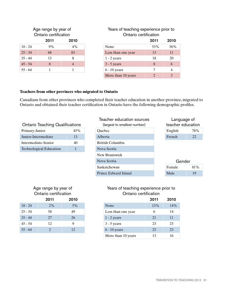## Age range by year of Ontario certification

|           | 2011 | 2010  |
|-----------|------|-------|
| $18 - 24$ | 9%   | $4\%$ |
| $25 - 34$ | 68   | 83    |
| $35 - 44$ | 13   | 8     |
| $45 - 54$ | 8    |       |
| $55 - 64$ | 1    |       |

| Ontario certification |      |                |                    | Ontario certification |      |  |
|-----------------------|------|----------------|--------------------|-----------------------|------|--|
|                       | 2011 | 2010           |                    | 2011                  | 2010 |  |
| 18 - 24               | 9%   | 4%             | None               | 53%                   | 56%  |  |
| $25 - 34$             | 68   | 83             | Less than one year | 13                    | 11   |  |
| $35 - 44$             | 13   | 8              | $1 - 2$ years      | 18                    | 20   |  |
| $45 - 54$             | 8    | $\overline{4}$ | $3 - 5$ years      | 8                     | 6    |  |
| $55 - 64$             |      |                | $6 - 10$ years     |                       | 4    |  |
|                       |      |                | More than 10 years | $\bigcirc$            |      |  |

Years of teaching experience prior to

## **Teachers from other provinces who migrated to Ontario**

Canadians from other provinces who completed their teacher education in another province, migrated to Ontario and obtained their teacher certification in Ontario have the following demographic profiles.

|                                        |                 | IGAUIGI GUUU            |
|----------------------------------------|-----------------|-------------------------|
| <b>Ontario Teaching Qualifications</b> | (largest to sma |                         |
| Primary-Junior                         | 45%             | Quebec                  |
| Junior-Intermediate                    | 13              | Alberta                 |
| Intermediate-Senior                    | 40              | <b>British Columbia</b> |
| <b>Technological Education</b>         |                 | Nova Scotia             |

| <b>Ontario Teaching Qualifications</b> |     |             | Teacher education sources<br>(largest to smallest number) | Language of<br>teacher education |     |
|----------------------------------------|-----|-------------|-----------------------------------------------------------|----------------------------------|-----|
| Primary-Junior                         | 45% |             | Quebec                                                    | English                          | 78% |
| Junior-Intermediate                    | 13  |             | Alberta                                                   | French                           | 22  |
| Intermediate-Senior                    | 40  |             | British Columbia                                          |                                  |     |
| <b>Technological Education</b>         |     |             | Nova Scotia                                               |                                  |     |
|                                        |     |             | New Brunswick                                             |                                  |     |
|                                        |     | Nova Scotia | Gender                                                    |                                  |     |
|                                        |     |             | Saskatchewan                                              | Female                           | 81% |
|                                        |     |             | Prince Edward Island                                      | Male                             | 19  |

#### Age range by year of Ontario certification 2011 2010 2011 2010

|           | 2011                  | 2010 |
|-----------|-----------------------|------|
| $18 - 24$ | 2%                    | 5%   |
| $25 - 34$ | 58                    | 49   |
| $35 - 44$ | 27                    | 26   |
| $45 - 54$ | 12                    | 9    |
| $55 - 64$ | $\mathcal{D}_{\cdot}$ | 12   |

## Years of teaching experience prior to Ontario certification

|           | 2011 | 2010  |                    | 2011 |
|-----------|------|-------|--------------------|------|
| $18 - 24$ | 2%   | $5\%$ | None               | 13%  |
| $25 - 34$ | 58   | 49    | Less than one year | h    |
| $35 - 44$ | 27   | 26    | $1 - 2$ years      | 21   |
| 45 - 54   | 12   | 9     | $3 - 5$ years      | 23   |
| $55 - 64$ |      | 12    | $6 - 10$ years     | 23   |
|           |      |       | More than 10 years | 13   |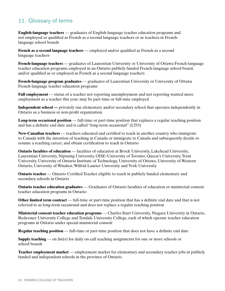## 11. Glossary of terms

**English-language teachers** — graduates of English-language teacher education programs and not employed or qualified as French as a second language teachers or as teachers in Frenchlanguage school boards

**French as a second language teachers** — employed and/or qualified as French as a second language teachers

**French-language teachers** — graduates of Laurentian University or University of Ottawa French-language teacher education programs, employed in an Ontario publicly funded French-language school board, and/or qualified as or employed as French as a second language teachers

**French-language program graduates** — graduates of Laurentian University or University of Ottawa French-language teacher education programs

**Full employment** — status of a teacher not reporting unemployment and not reporting wanted more employment as a teacher this year; may be part-time or full-time employed

**Independent school — privately run elementary and/or secondary school that operates independently in** Ontario as a business or non-profit organization.

**Long-term occasional position** — full-time or part-time position that replaces a regular teaching position and has a definite end date and is called "long-term occasional" (LTO)

**New-Canadian teachers** — teachers educated and certified to teach in another country who immigrate to Canada with the intention of teaching in Canada or immigrate to Canada and subsequently decide to resume a teaching career, and obtain certification to teach in Ontario

**Ontario faculties of education** — faculties of education at Brock University, Lakehead University, Laurentian University, Nipissing University, OISE-University of Toronto, Queen's University,Trent University, University of Ontario Institute of Technology, University of Ottawa, University of Western Ontario, University of Windsor,Wilfrid Laurier University and York University

**Ontario teacher** — Ontario Certified Teacher eligible to teach in publicly funded elementary and secondary schools in Ontario

**Ontario teacher education graduates** — Graduates of Ontario faculties of education or ministerial consent teacher education programs in Ontario

**Other limited term contract** — full-time or part-time position that has a definite end date and that is not referred to as long-term occasional and does not replace a regular teaching position

**Ministerial consent teacher education programs** — Charles Sturt University, Niagara University in Ontario, Redeemer University College and Tyndale University College, each of which operate teacher education programs in Ontario under special ministerial consent

**Regular teaching position** — full-time or part-time position that does not have a definite end date

**Supply teaching** — on list(s) for daily on-call teaching assignments for one or more schools or school boards

**Teacher employment market** — employment market for elementary and secondary teacher jobs in publicly funded and independent schools in the province of Ontario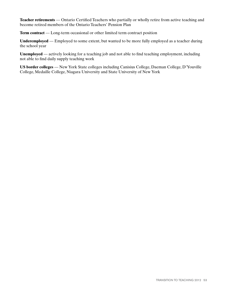**Teacher retirements** — Ontario Certified Teachers who partially or wholly retire from active teaching and become retired members of the Ontario Teachers' Pension Plan

**Term contract** — Long-term occasional or other limited term contract position

**Underemployed** — Employed to some extent, but wanted to be more fully employed as a teacher during the school year

**Unemployed** — actively looking for a teaching job and not able to find teaching employment, including not able to find daily supply teaching work

**US border colleges** — New York State colleges including Canisius College, Daeman College, D'Youville College, Medaille College, Niagara University and State University of New York